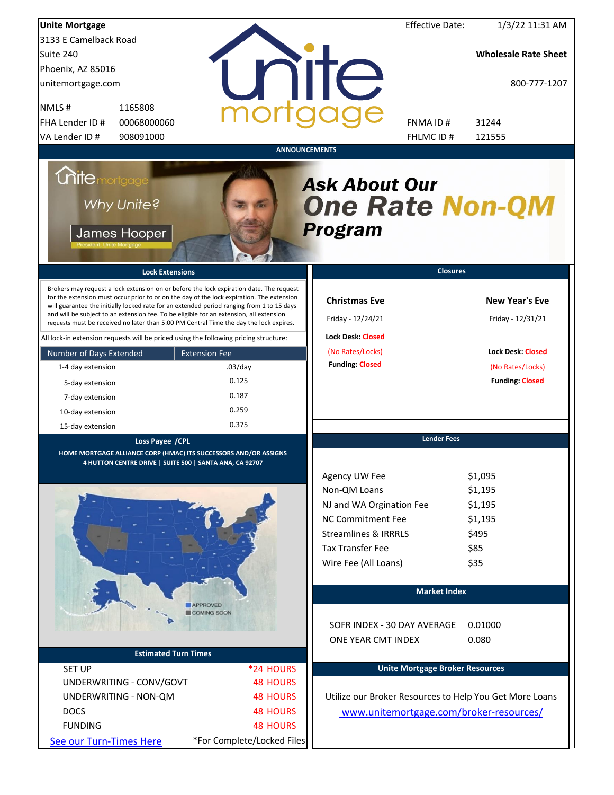| <b>Unite Mortgage</b>                                                                                                                                                                                                                                                                                                                                                                                                                                                                                                                                                                                                                                                                                                                 |                                                                              |                                                                                                                                                                                         | <b>Effective Date:</b> | 1/3/22 11:31 AM                                                                                                      |
|---------------------------------------------------------------------------------------------------------------------------------------------------------------------------------------------------------------------------------------------------------------------------------------------------------------------------------------------------------------------------------------------------------------------------------------------------------------------------------------------------------------------------------------------------------------------------------------------------------------------------------------------------------------------------------------------------------------------------------------|------------------------------------------------------------------------------|-----------------------------------------------------------------------------------------------------------------------------------------------------------------------------------------|------------------------|----------------------------------------------------------------------------------------------------------------------|
| 3133 E Camelback Road                                                                                                                                                                                                                                                                                                                                                                                                                                                                                                                                                                                                                                                                                                                 |                                                                              |                                                                                                                                                                                         |                        |                                                                                                                      |
| Suite 240                                                                                                                                                                                                                                                                                                                                                                                                                                                                                                                                                                                                                                                                                                                             |                                                                              |                                                                                                                                                                                         |                        | <b>Wholesale Rate Sheet</b>                                                                                          |
| Phoenix, AZ 85016                                                                                                                                                                                                                                                                                                                                                                                                                                                                                                                                                                                                                                                                                                                     |                                                                              |                                                                                                                                                                                         |                        |                                                                                                                      |
| unitemortgage.com                                                                                                                                                                                                                                                                                                                                                                                                                                                                                                                                                                                                                                                                                                                     |                                                                              | <b>TITE</b>                                                                                                                                                                             |                        | 800-777-1207                                                                                                         |
| 1165808<br>NMLS#                                                                                                                                                                                                                                                                                                                                                                                                                                                                                                                                                                                                                                                                                                                      |                                                                              |                                                                                                                                                                                         |                        |                                                                                                                      |
| FHA Lender ID #<br>00068000060                                                                                                                                                                                                                                                                                                                                                                                                                                                                                                                                                                                                                                                                                                        |                                                                              | FNMA ID#                                                                                                                                                                                |                        | 31244                                                                                                                |
| VA Lender ID #<br>908091000                                                                                                                                                                                                                                                                                                                                                                                                                                                                                                                                                                                                                                                                                                           |                                                                              | FHLMC ID#                                                                                                                                                                               |                        | 121555                                                                                                               |
| <b>Unite</b> mortgage<br>Why Unite?<br>James Hooper<br><b>Lock Extensions</b><br>Brokers may request a lock extension on or before the lock expiration date. The request<br>for the extension must occur prior to or on the day of the lock expiration. The extension<br>will guarantee the initially locked rate for an extended period ranging from 1 to 15 days<br>and will be subject to an extension fee. To be eligible for an extension, all extension<br>requests must be received no later than 5:00 PM Central Time the day the lock expires.<br>All lock-in extension requests will be priced using the following pricing structure:<br>Number of Days Extended<br>1-4 day extension<br>5-day extension<br>7-day extension | <b>ANNOUNCEMENTS</b><br><b>Extension Fee</b><br>$.03$ /day<br>0.125<br>0.187 | <b>Ask About Our</b><br><b>One Rate Non-QM</b><br><b>Program</b><br><b>Christmas Eve</b><br>Friday - 12/24/21<br><b>Lock Desk: Closed</b><br>(No Rates/Locks)<br><b>Funding: Closed</b> | <b>Closures</b>        | <b>New Year's Eve</b><br>Friday - 12/31/21<br><b>Lock Desk: Closed</b><br>(No Rates/Locks)<br><b>Funding: Closed</b> |
| 10-day extension                                                                                                                                                                                                                                                                                                                                                                                                                                                                                                                                                                                                                                                                                                                      | 0.259                                                                        |                                                                                                                                                                                         |                        |                                                                                                                      |
| 15-day extension                                                                                                                                                                                                                                                                                                                                                                                                                                                                                                                                                                                                                                                                                                                      | 0.375                                                                        |                                                                                                                                                                                         |                        |                                                                                                                      |
| Loss Payee / CPL                                                                                                                                                                                                                                                                                                                                                                                                                                                                                                                                                                                                                                                                                                                      |                                                                              |                                                                                                                                                                                         | <b>Lender Fees</b>     |                                                                                                                      |
| HOME MORTGAGE ALLIANCE CORP (HMAC) ITS SUCCESSORS AND/OR ASSIGNS<br>4 HUTTON CENTRE DRIVE   SUITE 500   SANTA ANA, CA 92707                                                                                                                                                                                                                                                                                                                                                                                                                                                                                                                                                                                                           |                                                                              |                                                                                                                                                                                         |                        |                                                                                                                      |
|                                                                                                                                                                                                                                                                                                                                                                                                                                                                                                                                                                                                                                                                                                                                       |                                                                              | Agency UW Fee                                                                                                                                                                           |                        | \$1,095                                                                                                              |
|                                                                                                                                                                                                                                                                                                                                                                                                                                                                                                                                                                                                                                                                                                                                       |                                                                              | Non-QM Loans                                                                                                                                                                            |                        | \$1,195                                                                                                              |
|                                                                                                                                                                                                                                                                                                                                                                                                                                                                                                                                                                                                                                                                                                                                       |                                                                              | NJ and WA Orgination Fee                                                                                                                                                                |                        | \$1,195                                                                                                              |
|                                                                                                                                                                                                                                                                                                                                                                                                                                                                                                                                                                                                                                                                                                                                       |                                                                              | <b>NC Commitment Fee</b>                                                                                                                                                                |                        | \$1,195                                                                                                              |
|                                                                                                                                                                                                                                                                                                                                                                                                                                                                                                                                                                                                                                                                                                                                       |                                                                              | <b>Streamlines &amp; IRRRLS</b>                                                                                                                                                         |                        | \$495                                                                                                                |
|                                                                                                                                                                                                                                                                                                                                                                                                                                                                                                                                                                                                                                                                                                                                       |                                                                              | <b>Tax Transfer Fee</b>                                                                                                                                                                 |                        | \$85                                                                                                                 |
|                                                                                                                                                                                                                                                                                                                                                                                                                                                                                                                                                                                                                                                                                                                                       |                                                                              | Wire Fee (All Loans)                                                                                                                                                                    |                        | \$35                                                                                                                 |
|                                                                                                                                                                                                                                                                                                                                                                                                                                                                                                                                                                                                                                                                                                                                       |                                                                              |                                                                                                                                                                                         | <b>Market Index</b>    |                                                                                                                      |
|                                                                                                                                                                                                                                                                                                                                                                                                                                                                                                                                                                                                                                                                                                                                       | <b>APPROVED</b>                                                              |                                                                                                                                                                                         |                        |                                                                                                                      |
|                                                                                                                                                                                                                                                                                                                                                                                                                                                                                                                                                                                                                                                                                                                                       | COMING SOON                                                                  | SOFR INDEX - 30 DAY AVERAGE<br>ONE YEAR CMT INDEX                                                                                                                                       |                        | 0.01000<br>0.080                                                                                                     |
| <b>Estimated Turn Times</b>                                                                                                                                                                                                                                                                                                                                                                                                                                                                                                                                                                                                                                                                                                           |                                                                              |                                                                                                                                                                                         |                        |                                                                                                                      |
| <b>SET UP</b>                                                                                                                                                                                                                                                                                                                                                                                                                                                                                                                                                                                                                                                                                                                         | *24 HOURS                                                                    | <b>Unite Mortgage Broker Resources</b>                                                                                                                                                  |                        |                                                                                                                      |
| UNDERWRITING - CONV/GOVT                                                                                                                                                                                                                                                                                                                                                                                                                                                                                                                                                                                                                                                                                                              | <b>48 HOURS</b>                                                              |                                                                                                                                                                                         |                        |                                                                                                                      |
| UNDERWRITING - NON-QM                                                                                                                                                                                                                                                                                                                                                                                                                                                                                                                                                                                                                                                                                                                 | <b>48 HOURS</b>                                                              | Utilize our Broker Resources to Help You Get More Loans                                                                                                                                 |                        |                                                                                                                      |
| <b>DOCS</b>                                                                                                                                                                                                                                                                                                                                                                                                                                                                                                                                                                                                                                                                                                                           | <b>48 HOURS</b>                                                              | www.unitemortgage.com/broker-resources/                                                                                                                                                 |                        |                                                                                                                      |
| <b>FUNDING</b>                                                                                                                                                                                                                                                                                                                                                                                                                                                                                                                                                                                                                                                                                                                        | <b>48 HOURS</b>                                                              |                                                                                                                                                                                         |                        |                                                                                                                      |
| See our Turn-Times Here                                                                                                                                                                                                                                                                                                                                                                                                                                                                                                                                                                                                                                                                                                               | *For Complete/Locked Files                                                   |                                                                                                                                                                                         |                        |                                                                                                                      |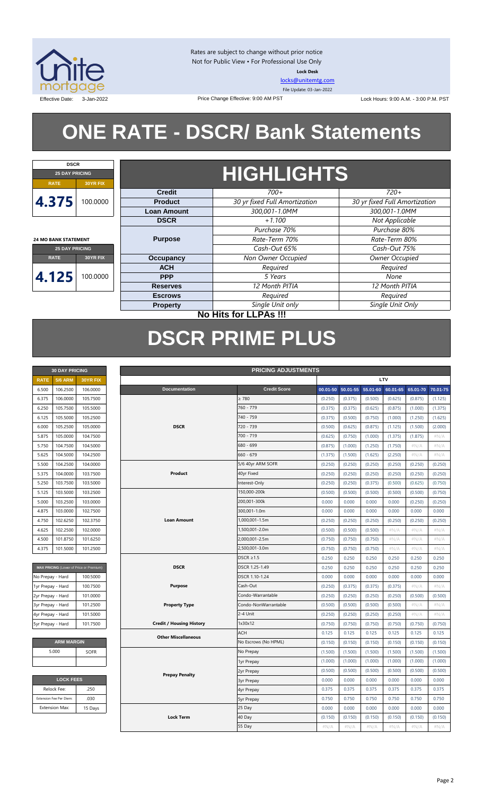

Rates are subject to change without prior notice Not for Public View • For Professional Use Only **Lock Desk**

[locks@unitemtg.com](mailto:locks@unitemtg.com) File Update: 03-Jan-2022

Effective Date: 3-Jan-2022 Price Change Effective: 9:00 AM PST Lock Hours: 9:00 A.M. - 3:00 P.M. PST

# **ONE RATE - DSCR/ Bank Statements**

Price Change Effective: 9:00 AM PST



**24 MO BANK STATEMENT**

## **HIGHLIGHTS**

|                         |          | <b>Credit</b>      | $700+$                        | $720+$                        |
|-------------------------|----------|--------------------|-------------------------------|-------------------------------|
| 4.375                   | 100.0000 | <b>Product</b>     | 30 yr fixed Full Amortization | 30 yr fixed Full Amortization |
|                         |          | <b>Loan Amount</b> | 300,001-1.0MM                 | 300,001-1.0MM                 |
|                         |          | <b>DSCR</b>        | $+1.100$                      | Not Applicable                |
|                         |          |                    | Purchase 70%                  | Purchase 80%                  |
| 4 MO BANK STATEMENT     |          | <b>Purpose</b>     | Rate-Term 70%                 | Rate-Term 80%                 |
| <b>25 DAY PRICING</b>   |          |                    | Cash-Out 65%                  | Cash-Out 75%                  |
| <b>RATE</b><br>30YR FIX |          | Occupancy          | Non Owner Occupied            | Owner Occupied                |
|                         |          | <b>ACH</b>         | Required                      | Required                      |
| 4.125                   | 00.0000  | <b>PPP</b>         | 5 Years                       | None                          |
|                         |          | <b>Reserves</b>    | 12 Month PITIA                | 12 Month PITIA                |
|                         |          | <b>Escrows</b>     | Required                      | Required                      |
|                         |          | <b>Property</b>    | Single Unit only              | Single Unit Only              |
|                         |          |                    |                               |                               |

### **No Hits for LLPAs !!!**

## **DSCR PRIME PLUS**

| <b>30 DAY PRICING</b> |                |          |  |  |  |  |  |
|-----------------------|----------------|----------|--|--|--|--|--|
| <b>RATE</b>           | <b>5/6 ARM</b> | 30YR FIX |  |  |  |  |  |
| 6.500                 | 106.2500       | 106.0000 |  |  |  |  |  |
| 6.375                 | 106.0000       | 105.7500 |  |  |  |  |  |
| 6.250                 | 105.7500       | 105.5000 |  |  |  |  |  |
| 6.125                 | 105.5000       | 105.2500 |  |  |  |  |  |
| 6.000                 | 105.2500       | 105.0000 |  |  |  |  |  |
| 5.875                 | 105.0000       | 104.7500 |  |  |  |  |  |
| 5.750                 | 104.7500       | 104.5000 |  |  |  |  |  |
| 5.625                 | 104.5000       | 104.2500 |  |  |  |  |  |
| 5.500                 | 104.2500       | 104.0000 |  |  |  |  |  |
| 5.375                 | 104.0000       | 103.7500 |  |  |  |  |  |
| 5.250                 | 103.7500       | 103.5000 |  |  |  |  |  |
| 5.125                 | 103.5000       | 103.2500 |  |  |  |  |  |
| 5.000                 | 103.2500       | 103.0000 |  |  |  |  |  |
| 4.875                 | 103.0000       | 102.7500 |  |  |  |  |  |
| 4.750                 | 102.6250       | 102.3750 |  |  |  |  |  |
| 4.625                 | 102.2500       | 102.0000 |  |  |  |  |  |
| 4.500                 | 101.8750       | 101.6250 |  |  |  |  |  |
| 4.375                 | 101.5000       | 101.2500 |  |  |  |  |  |

| MAX PRICING (Lower of Price or Premium) |          |
|-----------------------------------------|----------|
| No Prepay - Hard                        | 100,5000 |
| 1yr Prepay - Hard                       | 100.7500 |
| 2yr Prepay - Hard                       | 101.0000 |
| 3yr Prepay - Hard                       | 101.2500 |
| 4yr Prepay - Hard                       | 101.5000 |
| 5yr Prepay - Hard                       | 101.7500 |

| <b>ARM MARGIN</b> |             |  |  |  |  |  |  |  |
|-------------------|-------------|--|--|--|--|--|--|--|
| 5.000             | <b>SOFR</b> |  |  |  |  |  |  |  |
|                   |             |  |  |  |  |  |  |  |

| <b>LOCK FEES</b>        |         |  |  |  |  |  |  |
|-------------------------|---------|--|--|--|--|--|--|
| Relock Fee:             | .250    |  |  |  |  |  |  |
| Extension Fee Per Diem: | .030    |  |  |  |  |  |  |
| <b>Extension Max:</b>   | 15 Days |  |  |  |  |  |  |

|                   | <b>30 DAY PRICING</b>   |                                         | <b>PRICING ADJUSTMENTS</b> |                                 |                      |          |          |          |          |          |                           |
|-------------------|-------------------------|-----------------------------------------|----------------------------|---------------------------------|----------------------|----------|----------|----------|----------|----------|---------------------------|
| <b>RATE</b>       | <b>5/6 ARM</b>          | 30YR FIX                                |                            |                                 |                      |          |          |          | LTV      |          |                           |
| 6.500             | 106.2500                | 106.0000                                |                            | Documentation                   | <b>Credit Score</b>  | 00.01-50 | 50.01-55 | 55.01-60 | 60.01-65 | 65.01-70 | 70.01-75                  |
| 6.375             | 106.0000                | 105.7500                                |                            |                                 | $\geq 780$           | (0.250)  | (0.375)  | (0.500)  | (0.625)  | (0.875)  | (1.125)                   |
| 6.250             | 105.7500                | 105.5000                                |                            |                                 | 760 - 779            | (0.375)  | (0.375)  | (0.625)  | (0.875)  | (1.000)  | (1.375)                   |
| 6.125             | 105.5000                | 105.2500                                |                            |                                 | 740 - 759            | (0.375)  | (0.500)  | (0.750)  | (1.000)  | (1.250)  | (1.625)                   |
| 6.000             | 105.2500                | 105.0000                                |                            | <b>DSCR</b>                     | 720 - 739            | (0.500)  | (0.625)  | (0.875)  | (1.125)  | (1.500)  | (2.000)                   |
| 5.875             | 105.0000                | 104.7500                                |                            |                                 | 700 - 719            | (0.625)  | (0.750)  | (1.000)  | (1.375)  | (1.875)  | #N/A                      |
| 5.750             | 104.7500                | 104.5000                                |                            |                                 | 680 - 699            | (0.875)  | (1.000)  | (1.250)  | (1.750)  | $\#N/A$  | #N/A                      |
| 5.625             | 104.5000                | 104.2500                                |                            |                                 | 660 - 679            | (1.375)  | (1.500)  | (1.625)  | (2.250)  | $\#N/A$  | #N/A                      |
| 5.500             | 104.2500                | 104.0000                                |                            |                                 | 5/6 40yr ARM SOFR    | (0.250)  | (0.250)  | (0.250)  | (0.250)  | (0.250)  | (0.250)                   |
| 5.375             | 104.0000                | 103.7500                                |                            | Product                         | 40yr Fixed           | (0.250)  | (0.250)  | (0.250)  | (0.250)  | (0.250)  | (0.250)                   |
| 5.250             | 103.7500                | 103.5000                                |                            |                                 | Interest-Only        | (0.250)  | (0.250)  | (0.375)  | (0.500)  | (0.625)  | (0.750)                   |
| 5.125             | 103.5000                | 103.2500                                |                            |                                 | 150,000-200k         | (0.500)  | (0.500)  | (0.500)  | (0.500)  | (0.500)  | (0.750)                   |
| 5.000             | 103.2500                | 103.0000                                |                            |                                 | 200,001-300k         | 0.000    | 0.000    | 0.000    | 0.000    | (0.250)  | (0.250)                   |
| 4.875             | 103.0000                | 102.7500                                |                            |                                 | 300,001-1.0m         | 0.000    | 0.000    | 0.000    | 0.000    | 0.000    | 0.000                     |
| 4.750             | 102.6250                | 102.3750                                |                            | <b>Loan Amount</b>              | 1,000,001-1.5m       | (0.250)  | (0.250)  | (0.250)  | (0.250)  | (0.250)  | (0.250)                   |
| 4.625             | 102.2500                | 102.0000                                |                            |                                 | 1,500,001-2.0m       | (0.500)  | (0.500)  | (0.500)  | $\#N/A$  | $\#N/A$  | #N/A                      |
| 4.500             | 101.8750                | 101.6250                                |                            |                                 | 2,000,001-2.5m       | (0.750)  | (0.750)  | (0.750)  | $\#N/A$  | $\#N/A$  | #N/A                      |
| 4.375             | 101.5000                | 101.2500                                |                            |                                 | 2,500,001-3.0m       | (0.750)  | (0.750)  | (0.750)  | $\#N/A$  | #N/A     | #N/A                      |
|                   |                         |                                         |                            |                                 | $DSCR \geq 1.5$      | 0.250    | 0.250    | 0.250    | 0.250    | 0.250    | 0.250                     |
|                   |                         | MAX PRICING (Lower of Price or Premium) |                            | <b>DSCR</b>                     | DSCR 1.25-1.49       | 0.250    | 0.250    | 0.250    | 0.250    | 0.250    | 0.250                     |
| No Prepay - Hard  |                         | 100.5000                                |                            |                                 | DSCR 1.10-1.24       | 0.000    | 0.000    | 0.000    | 0.000    | 0.000    | 0.000                     |
| 1yr Prepay - Hard |                         | 100.7500                                |                            | <b>Purpose</b>                  | Cash-Out             | (0.250)  | (0.375)  | (0.375)  | (0.375)  | $\#N/A$  | $\#N/A$                   |
| 2yr Prepay - Hard |                         | 101.0000                                |                            |                                 | Condo-Warrantable    | (0.250)  | (0.250)  | (0.250)  | (0.250)  | (0.500)  | (0.500)                   |
| 3yr Prepay - Hard |                         | 101.2500                                |                            | <b>Property Type</b>            | Condo-NonWarrantable | (0.500)  | (0.500)  | (0.500)  | (0.500)  | $\#N/A$  | $\#\mathbb{N}/\mathbb{A}$ |
| 4yr Prepay - Hard |                         | 101.5000                                |                            |                                 | 2-4 Unit             | (0.250)  | (0.250)  | (0.250)  | (0.250)  | #N/A     | #N/A                      |
| 5yr Prepay - Hard |                         | 101.7500                                |                            | <b>Credit / Housing History</b> | 1x30x12              | (0.750)  | (0.750)  | (0.750)  | (0.750)  | (0.750)  | (0.750)                   |
|                   |                         |                                         |                            | <b>Other Miscellaneous</b>      | <b>ACH</b>           | 0.125    | 0.125    | 0.125    | 0.125    | 0.125    | 0.125                     |
|                   | <b>ARM MARGIN</b>       |                                         |                            |                                 | No Escrows (No HPML) | (0.150)  | (0.150)  | (0.150)  | (0.150)  | (0.150)  | (0.150)                   |
|                   | 5.000                   | <b>SOFR</b>                             |                            |                                 | No Prepay            | (1.500)  | (1.500)  | (1.500)  | (1.500)  | (1.500)  | (1.500)                   |
|                   |                         |                                         |                            |                                 | 1yr Prepay           | (1.000)  | (1.000)  | (1.000)  | (1.000)  | (1.000)  | (1.000)                   |
|                   |                         |                                         |                            | <b>Prepay Penalty</b>           | 2yr Prepay           | (0.500)  | (0.500)  | (0.500)  | (0.500)  | (0.500)  | (0.500)                   |
|                   | <b>LOCK FEES</b>        |                                         |                            |                                 | <b>3yr Prepay</b>    | 0.000    | 0.000    | 0.000    | 0.000    | 0.000    | 0.000                     |
|                   | Relock Fee:             | .250                                    |                            |                                 | 4yr Prepay           | 0.375    | 0.375    | 0.375    | 0.375    | 0.375    | 0.375                     |
|                   | Extension Fee Per Diem: | .030                                    |                            |                                 | 5yr Prepay           | 0.750    | 0.750    | 0.750    | 0.750    | 0.750    | 0.750                     |
|                   | Extension Max:          | 15 Days                                 |                            |                                 | 25 Day               | 0.000    | 0.000    | 0.000    | 0.000    | 0.000    | 0.000                     |
|                   |                         |                                         |                            | <b>Lock Term</b>                | 40 Day               | (0.150)  | (0.150)  | (0.150)  | (0.150)  | (0.150)  | (0.150)                   |
|                   |                         |                                         |                            |                                 | 55 Day               | #N/A     | $\#N/A$  | $\#N/A$  | #N/A     | #N/A     | #N/A                      |
|                   |                         |                                         |                            |                                 |                      |          |          |          |          |          |                           |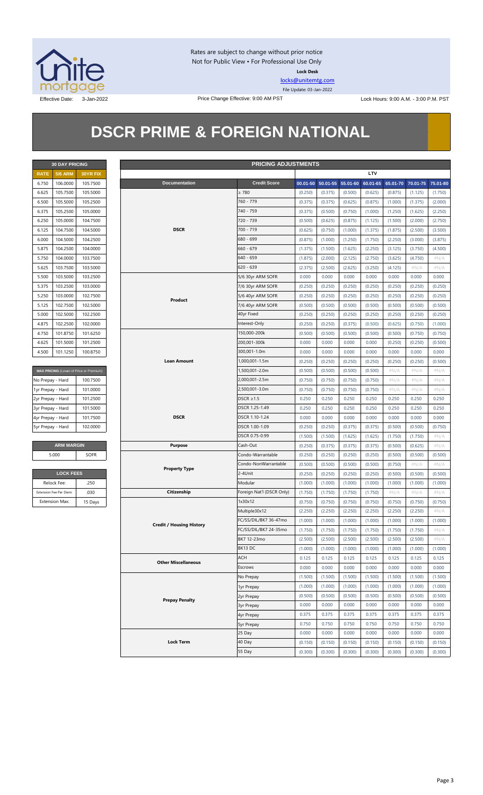

Rates are subject to change without prior notice Not for Public View • For Professional Use Only **Lock Desk**

[locks@unitemtg.com](mailto:locks@unitemtg.com) File Update: 03-Jan-2022

Effective Date: 3-Jan-2022 **Price Change Effective: 9:00 AM PST** Lock Hours: 9:00 A.M. - 3:00 P.M. PST

## **DSCR PRIME & FOREIGN NATIONAL**

|             | <b>30 DAY PRICING</b> |                 |  |  |  |  |  |  |  |
|-------------|-----------------------|-----------------|--|--|--|--|--|--|--|
| <b>RATE</b> | <b>5/6 ARM</b>        | <b>30YR FIX</b> |  |  |  |  |  |  |  |
| 6.750       | 106.0000              | 105.7500        |  |  |  |  |  |  |  |
| 6.625       | 105.7500              | 105,5000        |  |  |  |  |  |  |  |
| 6.500       | 105.5000              | 105.2500        |  |  |  |  |  |  |  |
| 6.375       | 105.2500              | 105.0000        |  |  |  |  |  |  |  |
| 6.250       | 105.0000              | 104.7500        |  |  |  |  |  |  |  |
| 6.125       | 104.7500              | 104.5000        |  |  |  |  |  |  |  |
| 6.000       | 104.5000              | 104.2500        |  |  |  |  |  |  |  |
| 5.875       | 104.2500              | 104.0000        |  |  |  |  |  |  |  |
| 5.750       | 104.0000              | 103.7500        |  |  |  |  |  |  |  |
| 5.625       | 103.7500              | 103.5000        |  |  |  |  |  |  |  |
| 5.500       | 103.5000              | 103.2500        |  |  |  |  |  |  |  |
| 5.375       | 103.2500              | 103.0000        |  |  |  |  |  |  |  |
| 5.250       | 103.0000              | 102.7500        |  |  |  |  |  |  |  |
| 5.125       | 102.7500              | 102.5000        |  |  |  |  |  |  |  |
| 5.000       | 102.5000              | 102.2500        |  |  |  |  |  |  |  |
| 4.875       | 102.2500              | 102.0000        |  |  |  |  |  |  |  |
| 4750        | 101.8750              | 101.6250        |  |  |  |  |  |  |  |
| 4.625       | 101.5000              | 101.2500        |  |  |  |  |  |  |  |
| 4.500       | 101.1250              | 100.8750        |  |  |  |  |  |  |  |

| MAX PRICING (Lower of Price or Premium) |          |  |  |  |  |  |  |  |
|-----------------------------------------|----------|--|--|--|--|--|--|--|
| No Prepay - Hard                        | 100.7500 |  |  |  |  |  |  |  |
| 1yr Prepay - Hard                       | 101.0000 |  |  |  |  |  |  |  |
| 2yr Prepay - Hard                       | 101.2500 |  |  |  |  |  |  |  |
| 3yr Prepay - Hard                       | 101.5000 |  |  |  |  |  |  |  |
| 4yr Prepay - Hard                       | 101.7500 |  |  |  |  |  |  |  |
| 5yr Prepay - Hard                       | 102,0000 |  |  |  |  |  |  |  |

| <b>ARM MARGIN</b> |             |
|-------------------|-------------|
| 5.000             | <b>SOFR</b> |

| <b>LOCK FEES</b>        |         |  |  |  |  |  |  |
|-------------------------|---------|--|--|--|--|--|--|
| Relock Fee:             | .250    |  |  |  |  |  |  |
| Extension Fee Per Diem: | .030    |  |  |  |  |  |  |
| <b>Extension Max:</b>   | 15 Days |  |  |  |  |  |  |

|                   | <b>PRICING ADJUSTMENTS</b><br><b>30 DAY PRICING</b> |                                         |  |                                 |                           |         |                            |         |          |         |                            |         |
|-------------------|-----------------------------------------------------|-----------------------------------------|--|---------------------------------|---------------------------|---------|----------------------------|---------|----------|---------|----------------------------|---------|
| <b>RATE</b>       | <b>5/6 ARM</b>                                      | 30YR FIX                                |  |                                 |                           |         |                            |         | LTV      |         |                            |         |
| 6.750             | 106.0000                                            | 105.7500                                |  | <b>Documentation</b>            | <b>Credit Score</b>       |         | 00.01-50 50.01-55 55.01-60 |         | 60.01-65 |         | 65.01-70 70.01-75 75.01-80 |         |
| 6.625             | 105.7500                                            | 105.5000                                |  |                                 | $\geq 780$                | (0.250) | (0.375)                    | (0.500) | (0.625)  | (0.875) | (1.125)                    | (1.750) |
| 6.500             | 105.5000                                            | 105.2500                                |  |                                 | 760 - 779                 | (0.375) | (0.375)                    | (0.625) | (0.875)  | (1.000) | (1.375)                    | (2.000) |
| 6.375             | 105.2500                                            | 105.0000                                |  |                                 | 740 - 759                 | (0.375) | (0.500)                    | (0.750) | (1.000)  | (1.250) | (1.625)                    | (2.250) |
| 6.250             | 105.0000                                            | 104.7500                                |  |                                 | 720 - 739                 | (0.500) | (0.625)                    | (0.875) | (1.125)  | (1.500) | (2.000)                    | (2.750) |
| 6.125             | 104.7500                                            | 104.5000                                |  | <b>DSCR</b>                     | 700 - 719                 | (0.625) | (0.750)                    | (1.000) | (1.375)  | (1.875) | (2.500)                    | (3.500) |
| 6.000             | 104.5000                                            | 104.2500                                |  |                                 | 680 - 699                 | (0.875) | (1.000)                    | (1.250) | (1.750)  | (2.250) | (3.000)                    | (3.875) |
| 5.875             | 104.2500                                            | 104.0000                                |  |                                 | $660 - 679$               | (1.375) | (1.500)                    | (1.625) | (2.250)  | (3.125) | (3.750)                    | (4.500) |
| 5.750             | 104.0000                                            | 103.7500                                |  |                                 | 640 - 659                 | (1.875) | (2.000)                    | (2.125) | (2.750)  | (3.625) | (4.750)                    | $\#N/A$ |
| 5.625             | 103.7500                                            | 103.5000                                |  |                                 | $620 - 639$               | (2.375) | (2.500)                    | (2.625) | (3.250)  | (4.125) | # $N/A$                    | $\#N/A$ |
| 5.500             | 103.5000                                            | 103.2500                                |  |                                 | 5/6 30yr ARM SOFR         | 0.000   | 0.000                      | 0.000   | 0.000    | 0.000   | 0.000                      | 0.000   |
| 5.375             | 103.2500                                            | 103.0000                                |  |                                 | 7/6 30yr ARM SOFR         | (0.250) | (0.250)                    | (0.250) | (0.250)  | (0.250) | (0.250)                    | (0.250) |
| 5.250             | 103.0000                                            | 102.7500                                |  |                                 | 5/6 40yr ARM SOFR         | (0.250) | (0.250)                    | (0.250) | (0.250)  | (0.250) | (0.250)                    | (0.250) |
|                   |                                                     |                                         |  | Product                         |                           |         |                            |         |          |         |                            |         |
| 5.125             | 102.7500                                            | 102.5000                                |  |                                 | 7/6 40yr ARM SOFR         | (0.500) | (0.500)                    | (0.500) | (0.500)  | (0.500) | (0.500)                    | (0.500) |
| 5.000             | 102.5000                                            | 102.2500                                |  |                                 | 40yr Fixed                | (0.250) | (0.250)                    | (0.250) | (0.250)  | (0.250) | (0.250)                    | (0.250) |
| 4.875             | 102.2500                                            | 102.0000                                |  |                                 | Interest-Only             | (0.250) | (0.250)                    | (0.375) | (0.500)  | (0.625) | (0.750)                    | (1.000) |
| 4.750             | 101.8750                                            | 101.6250                                |  |                                 | 150,000-200k              | (0.500) | (0.500)                    | (0.500) | (0.500)  | (0.500) | (0.750)                    | (0.750) |
| 4.625             | 101.5000                                            | 101.2500                                |  |                                 | 200,001-300k              | 0.000   | 0.000                      | 0.000   | 0.000    | (0.250) | (0.250)                    | (0.500) |
| 4.500             | 101.1250                                            | 100.8750                                |  |                                 | 300,001-1.0m              | 0.000   | 0.000                      | 0.000   | 0.000    | 0.000   | 0.000                      | 0.000   |
|                   |                                                     |                                         |  | <b>Loan Amount</b>              | 1,000,001-1.5m            | (0.250) | (0.250)                    | (0.250) | (0.250)  | (0.250) | (0.250)                    | (0.500) |
|                   |                                                     | MAX PRICING (Lower of Price or Premium) |  |                                 | 1,500,001-2.0m            | (0.500) | (0.500)                    | (0.500) | (0.500)  | $\#N/A$ | $\#N/A$                    | $\#N/A$ |
| No Prepay - Hard  |                                                     | 100.7500                                |  |                                 | 2,000,001-2.5m            | (0.750) | (0.750)                    | (0.750) | (0.750)  | # $N/A$ | # $N/A$                    | $\#N/A$ |
| 1yr Prepay - Hard |                                                     | 101.0000                                |  |                                 | 2,500,001-3.0m            | (0.750) | (0.750)                    | (0.750) | (0.750)  | # $N/A$ | # $N/A$                    | $\#N/A$ |
| 2yr Prepay - Hard |                                                     | 101.2500                                |  |                                 | $DSCR \geq 1.5$           | 0.250   | 0.250                      | 0.250   | 0.250    | 0.250   | 0.250                      | 0.250   |
| 3yr Prepay - Hard |                                                     | 101.5000                                |  |                                 | DSCR 1.25-1.49            | 0.250   | 0.250                      | 0.250   | 0.250    | 0.250   | 0.250                      | 0.250   |
| 4yr Prepay - Hard |                                                     | 101.7500                                |  | <b>DSCR</b>                     | DSCR 1.10-1.24            | 0.000   | 0.000                      | 0.000   | 0.000    | 0.000   | 0.000                      | 0.000   |
| 5yr Prepay - Hard |                                                     | 102.0000                                |  |                                 | DSCR 1.00-1.09            | (0.250) | (0.250)                    | (0.375) | (0.375)  | (0.500) | (0.500)                    | (0.750) |
|                   |                                                     |                                         |  |                                 | DSCR 0.75-0.99            | (1.500) | (1.500)                    | (1.625) | (1.625)  | (1.750) | (1.750)                    | #N/A    |
|                   | <b>ARM MARGIN</b>                                   |                                         |  | <b>Purpose</b>                  | Cash-Out                  | (0.250) | (0.375)                    | (0.375) | (0.375)  | (0.500) | (0.625)                    | $\#N/A$ |
|                   | 5.000                                               | <b>SOFR</b>                             |  |                                 | Condo-Warrantable         | (0.250) | (0.250)                    | (0.250) | (0.250)  | (0.500) | (0.500)                    | (0.500) |
|                   |                                                     |                                         |  |                                 | Condo-NonWarrantable      | (0.500) | (0.500)                    | (0.500) | (0.500)  | (0.750) | #N/A                       | #N/A    |
|                   | <b>LOCK FEES</b>                                    |                                         |  | <b>Property Type</b>            | 2-4Unit                   | (0.250) | (0.250)                    | (0.250) | (0.250)  | (0.500) | (0.500)                    | (0.500) |
|                   | Relock Fee:                                         | .250                                    |  |                                 | Modular                   | (1.000) | (1.000)                    | (1.000) | (1.000)  | (1.000) | (1.000)                    | (1.000) |
|                   | Extension Fee Per Diem:                             | .030                                    |  | Citizenship                     | Foreign Nat'l (DSCR Only) | (1.750) | (1.750)                    | (1.750) | (1.750)  | $\#N/A$ | $\#N/A$                    | $\#N/A$ |
|                   | Extension Max:                                      | 15 Days                                 |  |                                 | 1x30x12                   | (0.750) | (0.750)                    | (0.750) | (0.750)  | (0.750) | (0.750)                    | (0.750) |
|                   |                                                     |                                         |  |                                 | Multiple30x12             | (2.250) | (2.250)                    | (2.250) | (2.250)  | (2.250) | (2.250)                    | $\#N/A$ |
|                   |                                                     |                                         |  |                                 | FC/SS/DIL/BK7 36-47mo     | (1.000) | (1.000)                    | (1.000) | (1.000)  | (1.000) | (1.000)                    | (1.000) |
|                   |                                                     |                                         |  | <b>Credit / Housing History</b> | FC/SS/DIL/BK7 24-35mo     | (1.750) | (1.750)                    | (1.750) | (1.750)  | (1.750) | (1.750)                    | $\#N/A$ |
|                   |                                                     |                                         |  |                                 | BK7 12-23mo               | (2.500) | (2.500)                    | (2.500) | (2.500)  | (2.500) | (2.500)                    | # $N/A$ |
|                   |                                                     |                                         |  |                                 | BK13 DC                   |         |                            |         |          |         |                            |         |
|                   |                                                     |                                         |  |                                 |                           | (1.000) | (1.000)                    | (1.000) | (1.000)  | (1.000) | (1.000)                    | (1.000) |
|                   |                                                     |                                         |  | <b>Other Miscellaneous</b>      | <b>ACH</b>                | 0.125   | 0.125                      | 0.125   | 0.125    | 0.125   | 0.125                      | 0.125   |
|                   |                                                     |                                         |  |                                 | Escrows                   | 0.000   | 0.000                      | 0.000   | 0.000    | 0.000   | 0.000                      | 0.000   |
|                   |                                                     |                                         |  |                                 | No Prepay                 | (1.500) | (1.500)                    | (1.500) | (1.500)  | (1.500) | (1.500)                    | (1.500) |
|                   |                                                     |                                         |  |                                 | 1yr Prepay                | (1.000) | (1.000)                    | (1.000) | (1.000)  | (1.000) | (1.000)                    | (1.000) |
|                   |                                                     |                                         |  | <b>Prepay Penalty</b>           | 2yr Prepay                | (0.500) | (0.500)                    | (0.500) | (0.500)  | (0.500) | (0.500)                    | (0.500) |
|                   |                                                     |                                         |  |                                 | <b>3yr Prepay</b>         | 0.000   | 0.000                      | 0.000   | 0.000    | 0.000   | 0.000                      | 0.000   |
|                   |                                                     |                                         |  |                                 | 4yr Prepay                | 0.375   | 0.375                      | 0.375   | 0.375    | 0.375   | 0.375                      | 0.375   |
|                   |                                                     |                                         |  |                                 | 5yr Prepay                | 0.750   | 0.750                      | 0.750   | 0.750    | 0.750   | 0.750                      | 0.750   |
|                   |                                                     |                                         |  |                                 | 25 Day                    | 0.000   | 0.000                      | 0.000   | 0.000    | 0.000   | 0.000                      | 0.000   |
|                   |                                                     |                                         |  | <b>Lock Term</b>                | 40 Day                    | (0.150) | (0.150)                    | (0.150) | (0.150)  | (0.150) | (0.150)                    | (0.150) |
|                   |                                                     |                                         |  |                                 | 55 Day                    | (0.300) | (0.300)                    | (0.300) | (0.300)  | (0.300) | (0.300)                    | (0.300) |
|                   |                                                     |                                         |  |                                 |                           |         |                            |         |          |         |                            |         |

#### Page 3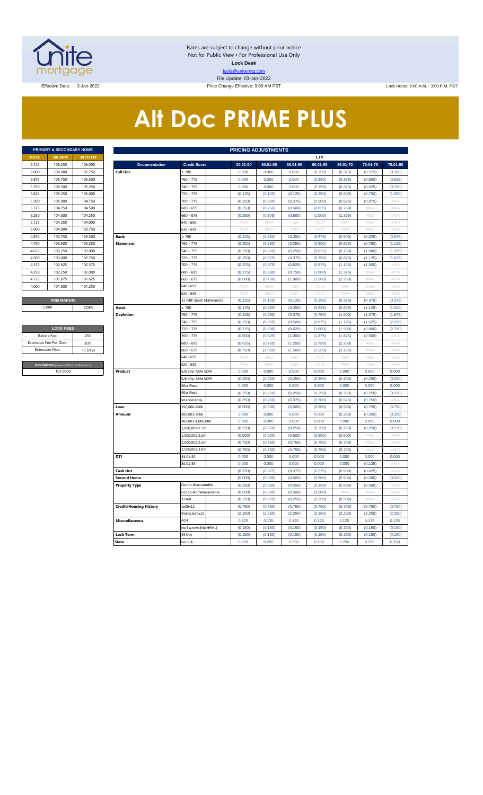

Rates are subject to change without prior notice Not for Public View • For Professional Use Only **Lock Desk** locks@unitemtg.com File Update: 03-Jan-2022

Effective Date: 3-Jan-2022 Price Change Effective: 9:00 AM PST Lock Hours: 9:00 A.M. - 3:00 P.M. PST

# **Alt Doc PRIME PLUS**

|             | PRIMARY & SECONDARY HOME |                 |
|-------------|--------------------------|-----------------|
| <b>RATE</b> | <b>5/6 ARM</b>           | <b>30YR FIX</b> |
| 6.125       | 106.250                  | 106,000         |
| 6.000       | 106,000                  | 105.750         |
| 5.875       | 105.750                  | 105.500         |
| 5.750       | 105.500                  | 105.250         |
| 5.625       | 105.250                  | 105.000         |
| 5.500       | 105.000                  | 104.750         |
| 5.375       | 104.750                  | 104.500         |
| 5.250       | 104.500                  | 104.250         |
| 5.125       | 104.250                  | 104,000         |
| 5.000       | 104,000                  | 103.750         |
| 4.875       | 103.750                  | 103.500         |
| 4.750       | 103.500                  | 103.250         |
| 4.625       | 103.250                  | 103,000         |
| 4.500       | 103,000                  | 102.750         |
| 4.375       | 102.625                  | 102.375         |
| 4.250       | 102.250                  | 102,000         |
| 4.125       | 101.875                  | 101.625         |
| 4.000       | 101.500                  | 101.250         |
|             |                          |                 |
|             | <b>ARM MARGIN</b>        |                 |

| <b>LOCK FEES</b>                        |         |  |  |  |  |  |  |  |  |  |
|-----------------------------------------|---------|--|--|--|--|--|--|--|--|--|
| Relock Fee:                             | 250     |  |  |  |  |  |  |  |  |  |
| <b>Extension Fee Per Diem</b>           | .030    |  |  |  |  |  |  |  |  |  |
| <b>Extension Max:</b>                   | 15 Days |  |  |  |  |  |  |  |  |  |
|                                         |         |  |  |  |  |  |  |  |  |  |
| MAX PRICING (Lower of Price or Premium) |         |  |  |  |  |  |  |  |  |  |
| 101,0000                                |         |  |  |  |  |  |  |  |  |  |

|                       | PRIMARY & SECONDARY HOME                |          |                               |                        | <b>PRICING ADJUSTMENTS</b> |          |          |                           |          |          |                     |
|-----------------------|-----------------------------------------|----------|-------------------------------|------------------------|----------------------------|----------|----------|---------------------------|----------|----------|---------------------|
| RATE                  | <b>5/6 ARM</b>                          | 30YR FIX |                               |                        |                            |          |          | LTV                       |          |          |                     |
| 6.125                 | 106.250                                 | 106.000  | <b>Documentation</b>          | <b>Credit Score</b>    | 00.01-50                   | 50.01-55 | 55.01-60 | 60.01-65                  | 65.01-70 | 70.01-75 | 75.01-80            |
| 6.000                 | 106.000                                 | 105.750  | <b>Full Doc</b>               | 2780                   | 0.000                      | 0.000    | 0.000    | (0.250)                   | (0.375)  | (0.375)  | (0.500)             |
| 5.875                 | 105.750                                 | 105.500  |                               | 760 - 779              | 0.000                      | 0.000    | 0.000    | (0.250)                   | (0.375)  | (0.500)  | (0.625)             |
| 5.750                 | 105.500                                 | 105.250  |                               | 740 - 759              | 0.000                      | 0.000    | 0.000    | (0.250)                   | (0.375)  | (0.625)  | (0.750)             |
| 5.625                 | 105.250                                 | 105.000  |                               | 720 - 739              | (0.125)                    | (0.125)  | (0.125)  | (0.250)                   | (0.500)  | (0.750)  | (1.000)             |
| 5.500                 | 105.000                                 | 104.750  |                               | 700 - 719              | (0.250)                    | (0.250)  | (0.375)  | (0.500)                   | (0.625)  | (0.875)  | $\#\mathsf{N}/\ell$ |
| 5.375                 | 104.750                                 | 104.500  |                               | 680 - 699              | (0.250)                    | (0.250)  | (0.500)  | (0.625)                   | (0.750)  | #N/A     | #N/A                |
| 5.250                 | 104.500                                 | 104.250  |                               | 660 - 679              | (0.250)                    | (0.375)  | (0.500)  | (1.000)                   | (1.375)  | #N/A     | #N/A                |
| 5.125                 | 104.250                                 | 104.000  |                               | 540 - 659              | #N/A                       | #N/A     | #N/A     | $\#N/A$                   | #N/A     | #N/A     | $\#N/A$             |
| 5.000                 | 104.000                                 | 103.750  |                               | 620 - 639              | #N/A                       | #N/A     | #N/A     | #N/A                      | #N/A     | #N/A     | #N/A                |
| 4.875                 | 103.750                                 | 103.500  | Bank                          | $\geq 780$             | (0.125)                    | (0.250)  | (0.250)  | (0.375)                   | (0.500)  | (0.625)  | (0.875)             |
| 4.750                 | 103.500                                 | 103.250  | <b>Statement</b>              | 760 - 779              | (0.250)                    | (0.250)  | (0.250)  | (0.500)                   | (0.625)  | (0.750)  | (1.125)             |
| 4.625                 | 103.250                                 | 103.000  |                               | 740 - 759              | (0.250)                    | (0.250)  | (0.250)  | (0.625)                   | (0.750)  | (1.000)  | (1.375)             |
| 4.500                 | 103.000                                 | 102.750  |                               | 720 - 739              | (0.250)                    | (0.375)  | (0.375)  | (0.750)                   | (0.875)  | (1.125)  | (1.625)             |
| 4.375                 | 102.625                                 | 102.375  |                               | 700 - 719              | (0.375)                    | (0.375)  | (0.625)  | (0.875)                   | (1.125)  | (1.500)  | $\#N/A$             |
| 4.250                 | 102.250                                 | 102.000  |                               | 680 - 699              | (0.375)                    | (0.500)  | (0.750)  | (1.000)                   | (1.375)  | $\#N/F$  | $\#N/\beta$         |
| 4.125                 | 101.875                                 | 101.625  |                               | 660 - 679              | (0.500)                    | (0.750)  | (1.000)  | (1.500)                   | (2.250)  | #N/A     | #N/A                |
| 4.000                 | 101.500                                 | 101.250  |                               | 640 - 659              | #N/A                       | #N/A     | #N/A     | #N/A                      | #N/A     | #N/A     | #N/A                |
|                       |                                         |          |                               | $520 - 639$            | #N/A                       | $\#N/A$  | $\#N/A$  | $\#N/A$                   | #N/A     | #N/A     | $\#N/\beta$         |
|                       | <b>ARM MARGIN</b>                       |          |                               | 12 Mth Bank Statements | (0.125)                    | (0.125)  | (0.125)  | (0.250)                   | (0.375)  | (0.375)  | (0.375)             |
|                       | 5.000                                   | SOFR     | Asset                         | > 780                  | (0.125)                    | (0.250)  | (0.250)  | (0.625)                   | (0.875)  | (1.125)  | (1.500)             |
|                       |                                         |          | <b>Depletion</b>              | 760 - 779              | (0.125)                    | (0.250)  | (0.375)  | (0.750)                   | (1.000)  | (1.375)  | (1.875)             |
|                       |                                         |          |                               | 740 - 759              | (0.250)                    | (0.250)  | (0.500)  | (0.875)                   | (1.125)  | (1.625)  | (2.250)             |
|                       | <b>LOCK FEES</b>                        |          |                               | 720 - 739              | (0.375)                    | (0.500)  | (0.625)  | (1.000)                   | (1.500)  | (2.000)  | (2.750)             |
| Relock Fee:           |                                         | .250     |                               | 700 - 719              | (0.500)                    | (0.625)  | (1.000)  | (1.375)                   | (1.875)  | (2.500)  | #N/A                |
|                       | xtension Fee Per Diem                   | .030     |                               | 680 - 699              | (0.625)                    | (0.750)  | (1.250)  | (1.750)                   | (2.250)  | #N/A     | #N/A                |
| <b>Extension Max:</b> |                                         | 15 Days  |                               | 660 - 679              | (0.750)                    | (1.000)  | (1.500)  | (2.250)                   | (3.125)  | # $N/A$  | #N/A                |
|                       |                                         |          |                               | 640 - 659              | #N/A                       | # $N/A$  | $\#N/A$  | $\#\mathsf{N}/\mathsf{A}$ | #N/A     | # $N/A$  | #N/A                |
|                       | MAX PRICING (Lower of Price or Premium) |          |                               | 620 - 639              | $\#N/A$                    | #N/A     | $\#N/A$  | $\#N/A$                   | #N/A     | #N/A     | $\#N/A$             |
|                       | 101.0000                                |          | Product                       | 5/6 30yr ARM SOFR      | 0.000                      | 0.000    | 0.000    | 0.000                     | 0.000    | 0.000    | 0.000               |
|                       |                                         |          |                               | 5/6 40yr ARM SOFR      | (0.250)                    | (0.250)  | (0.250)  | (0.250)                   | (0.250)  | (0.250)  | (0.250)             |
|                       |                                         |          |                               | 30yr Fixed             | 0.000                      | 0.000    | 0.000    | 0.000                     | 0.000    | 0.000    | 0.000               |
|                       |                                         |          |                               | 40yr Fixed             | (0.250)                    | (0.250)  | (0.250)  | (0.250)                   | (0.250)  | (0.250)  | (0.250)             |
|                       |                                         |          |                               | nterest-Only           | (0.250)                    | (0.250)  | (0.375)  | (0.500)                   | (0.625)  | (0.750)  | $\#\mathsf{N}/\ell$ |
|                       |                                         |          | Loan                          | 150,000-200k           | (0.500)                    | (0.500)  | (0.500)  | (0.500)                   | (0.500)  | (0.750)  | (0.750)             |
|                       |                                         |          | Amount                        | 200.001-300k           | 0.000                      | 0.000    | 0.000    | 0.000                     | (0.250)  | (0.250)  | (0.250)             |
|                       |                                         |          |                               | 300,001-1,000,000      | 0.000                      | 0.000    | 0.000    | 0.000                     | 0.000    | 0.000    | 0.000               |
|                       |                                         |          |                               | 1,000,001-1.5m         | (0.250)                    | (0.250)  | (0.250)  | (0.250)                   | (0.250)  | (0.250)  | (0.250)             |
|                       |                                         |          |                               | 1,500,001-2.0m         | (0.500)                    | (0.500)  | (0.500)  | (0.500)                   | (0.500)  | #N/A     | #N/A                |
|                       |                                         |          |                               | 2,000,001-2.5m         | (0.750)                    | (0.750)  | (0.750)  | (0.750)                   | (0.750)  | #N/A     | #N/A                |
|                       |                                         |          |                               | 2,500,001-3.0m         | (0.750)                    | (0.750)  | (0.750)  | (0.750)                   | (0.750)  | #N/A     | #N/A                |
|                       |                                         |          | DTI                           | 43.01-50               | 0.000                      | 0.000    | 0.000    | 0.000                     | 0.000    | 0.000    | 0.000               |
|                       |                                         |          |                               | 50.01-55               | 0.000                      | 0.000    | 0.000    | 0.000                     | 0.000    | (0.125)  | $\#N/A$             |
|                       |                                         |          | Cash Out                      |                        | (0.250)                    | (0.375)  | (0.375)  | (0.375)                   | (0.500)  | (0.625)  | $\#N/\beta$         |
|                       |                                         |          | <b>Second Home</b>            |                        | (0.500)                    | (0.500)  | (0.500)  | (0.500)                   | (0.500)  | (0.500)  | (0.500)             |
|                       |                                         |          | <b>Property Type</b>          | Condo-Warrantable      | (0.250)                    | (0.250)  | (0.250)  | (0.250)                   | (0.500)  | (0.500)  | $\#N/A$             |
|                       |                                         |          |                               | Condo-NonWarrantable   | (0.500)                    | (0.500)  | (0.500)  | (0.500)                   | #N/A     | $\#N/F$  | $\#N/\beta$         |
|                       |                                         |          |                               | 2-Unit                 | (0.250)                    | (0.250)  | (0.250)  | (0.250)                   | (0.500)  | #N/A     | #N/A                |
|                       |                                         |          | <b>Credit/Housing History</b> | 1x30x12                | (0.750)                    | (0.750)  | (0.750)  | (0.750)                   | (0.750)  | (0.750)  | (0.750)             |
|                       |                                         |          |                               | Multiple30x12          | (2.250)                    | (2.250)  | (2.250)  | (2.250)                   | (2.250)  | (2.250)  | (2.250)             |
|                       |                                         |          | <b>Misccellaneous</b>         | ACH                    | 0.125                      | 0.125    | 0.125    | 0.125                     | 0.125    | 0.125    | 0.125               |
|                       |                                         |          |                               | No Escrows (No HPML)   | (0.150)                    | (0.150)  | (0.150)  | (0.150)                   | (0.150)  | (0.150)  | (0.150)             |
|                       |                                         |          | <b>Lock Term</b>              | 45 Day                 | (0.150)                    | (0.150)  | (0.150)  | (0.150)                   | (0.150)  | (0.150)  | (0.150)             |
|                       |                                         |          | <b>State</b>                  | non CA                 | 0.250                      | 0.250    | 0.250    | 0.250                     | 0.250    | 0.250    | 0.250               |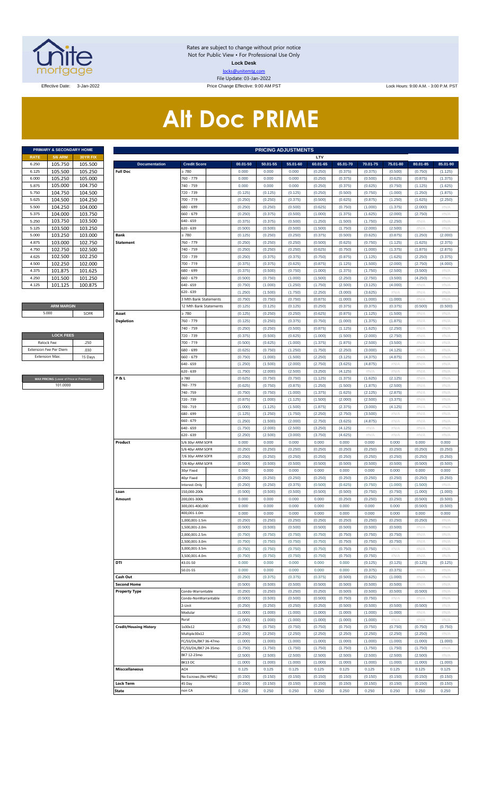

Rates are subject to change without prior notice Not for Public View • For Professional Use Only **Lock Desk** locks@unitemtg.com File Update: 03-Jan-2022

Effective Date: 3-Jan-2022 Price Change Effective: 9:00 AM PST Lock Hours: 9:00 A.M. - 3:00 P.M. PST

# **Alt Doc PRIME**

|             | <b>PRIMARY &amp; SECONDARY HOME</b> |                 |
|-------------|-------------------------------------|-----------------|
| <b>RATE</b> | <b>5/6 ARM</b>                      | <b>30YR FIX</b> |
| 6.250       | 105.750                             | 105.500         |
| 6.125       | 105.500                             | 105.250         |
| 6.000       | 105.250                             | 105.000         |
| 5.875       | 105.000                             | 104.750         |
| 5.750       | 104.750                             | 104.500         |
| 5.625       | 104.500                             | 104.250         |
| 5.500       | 104.250                             | 104.000         |
| 5.375       | 104.000                             | 103.750         |
| 5.250       | 103.750                             | 103.500         |
| 5.125       | 103.500                             | 103.250         |
| 5.000       | 103.250                             | 103.000         |
| 4.875       | 103.000                             | 102.750         |
| 4.750       | 102.750                             | 102.500         |
| 4.625       | 102.500                             | 102.250         |
| 4.500       | 102.250                             | 102.000         |
| 4.375       | 101.875                             | 101.625         |
| 4.250       | 101.500                             | 101.250         |
| 4.125       | 101.125                             | 100.875         |

#### **ARM MARGIN** 5.000

| <b>LOCK FEES</b> |
|------------------|
| 250              |
| .030             |
| 15 Days          |
|                  |

**ICING** (Lower of Price or Premium) 101.0000

| PRIMARY & SECONDARY HOME                |          |                               |                        |          | <b>PRICING ADJUSTMENTS</b> |          |          |          |          |                           |          |          |
|-----------------------------------------|----------|-------------------------------|------------------------|----------|----------------------------|----------|----------|----------|----------|---------------------------|----------|----------|
| RATE<br><b>5/6 ARM</b>                  | 30YR FIX |                               |                        |          |                            |          | LTV      |          |          |                           |          |          |
| 105.750<br>6.250                        | 105.500  | <b>Documentation</b>          | <b>Credit Score</b>    | 00.01-50 | 50.01-55                   | 55.01-60 | 60.01-65 | 65.01-70 | 70.01-75 | 75.01-80                  | 80.01-85 | 85.01-90 |
| 105.500<br>6.125                        | 105.250  | <b>Full Doc</b>               | 780                    | 0.000    | 0.000                      | 0.000    | (0.250)  | (0.375)  | (0.375)  | (0.500)                   | (0.750)  | (1.125)  |
| 105.250<br>6.000                        | 105.000  |                               | 760 - 779              | 0.000    | 0.000                      | 0.000    | (0.250)  | (0.375)  | (0.500)  | (0.625)                   | (0.875)  | (1.375)  |
| 105.000<br>5.875                        | 104.750  |                               | 740 - 759              | 0.000    | 0.000                      | 0.000    | (0.250)  | (0.375)  | (0.625)  | (0.750)                   | (1.125)  | (1.625)  |
| 104.750<br>5.750                        | 104.500  |                               | 720 - 739              | (0.125)  | (0.125)                    | (0.125)  | (0.250)  | (0.500)  | (0.750)  | (1.000)                   | (1.250)  | (1.875)  |
| 104.500<br>5.625                        | 104.250  |                               | 700 - 719              | (0.250)  | (0.250)                    | (0.375)  | (0.500)  | (0.625)  | (0.875)  | (1.250)                   | (1.625)  | (2.250)  |
| 104.250<br>5.500                        | 104.000  |                               | 680 - 699              | (0.250)  | (0.250)                    | (0.500)  | (0.625)  | (0.750)  | (1.000)  | (1.375)                   | (2.000)  | #N/A     |
| 104.000<br>5.375                        | 103.750  |                               | 660 - 679              | (0.250)  | (0.375)                    | (0.500)  | (1.000)  | (1.375)  | (1.625)  | (2.000)                   | (2.750)  | #N/A     |
| 103.750<br>5.250                        | 103.500  |                               | 640 - 659              | (0.375)  | (0.375)                    | (0.500)  | (1.250)  | (1.500)  | (1.750)  | (2.250)                   | #N/A     | #N/A     |
| 103.500<br>5.125                        | 103.250  |                               | 620 - 639              | (0.500)  | (0.500)                    | (0.500)  | (1.500)  | (1.750)  | (2.000)  | (2.500)                   | $\#N/A$  | #N/A     |
| 103.250<br>5.000                        | 103.000  | Bank                          | 2780                   | (0.125)  | (0.250)                    | (0.250)  | (0.375)  | (0.500)  | (0.625)  | (0.875)                   | (1.250)  | (2.000)  |
| 103.000<br>4.875                        | 102.750  | <b>Statement</b>              | 760 - 779              | (0.250)  | (0.250)                    | (0.250)  | (0.500)  | (0.625)  | (0.750)  | (1.125)                   | (1.625)  | (2.375)  |
| 102.750<br>4.750                        | 102.500  |                               | 740 - 759              | (0.250)  | (0.250)                    | (0.250)  | (0.625)  | (0.750)  | (1.000)  | (1.375)                   | (1.875)  | (2.875)  |
| 102.500<br>4.625                        | 102.250  |                               | 720 - 739              | (0.250)  | (0.375)                    | (0.375)  | (0.750)  | (0.875)  | (1.125)  | (1.625)                   | (2.250)  | (3.375)  |
| 102.250<br>4.500                        | 102.000  |                               | 700 - 719              | (0.375)  | (0.375)                    | (0.625)  | (0.875)  | (1.125)  | (1.500)  | (2.000)                   | (2.750)  | (4.000)  |
| 4.375<br>101.875                        | 101.625  |                               | 680 - 699              | (0.375)  | (0.500)                    | (0.750)  | (1.000)  | (1.375)  | (1.750)  | (2.500)                   | (3.500)  | #N/A     |
| 101.500<br>4.250                        | 101.250  |                               | 660 - 679              | (0.500)  | (0.750)                    | (1.000)  | (1.500)  | (2.250)  | (2.750)  | (3.500)                   | (4.250)  | #N/A     |
| 4.125<br>101.125                        | 100.875  |                               | 640 - 659              | (0.750)  | (1.000)                    | (1.250)  | (1.750)  | (2.500)  | (3.125)  | (4.000)                   | #N/A     | #N/A     |
|                                         |          |                               |                        |          |                            |          |          |          |          |                           |          |          |
|                                         |          |                               | 620 - 639              | (1.250)  | (1.500)                    | (1.750)  | (2.250)  | (3.000)  | (3.625)  | #N/A                      | #N/A     | #N/A     |
|                                         |          |                               | Mth Bank Statements    | (0.750)  | (0.750)                    | (0.750)  | (0.875)  | (1.000)  | (1.000)  | (1.000)                   | $\#N/A$  | #N/A     |
| <b>ARM MARGIN</b>                       |          |                               | 12 Mth Bank Statements | (0.125)  | (0.125)                    | (0.125)  | (0.250)  | (0.375)  | (0.375)  | (0.375)                   | (0.500)  | (0.500)  |
| 5.000                                   | SOFR     | Asset                         | : 780                  | (0.125)  | (0.250)                    | (0.250)  | (0.625)  | (0.875)  | (1.125)  | (1.500)                   | #N/A     | #N/A     |
|                                         |          | <b>Depletion</b>              | 760 - 779              | (0.125)  | (0.250)                    | (0.375)  | (0.750)  | (1.000)  | (1.375)  | (1.875)                   | #N/A     | #N/A     |
|                                         |          |                               | 740 - 759              | (0.250)  | (0.250)                    | (0.500)  | (0.875)  | (1.125)  | (1.625)  | (2.250)                   | #N/A     | #N/A     |
| <b>LOCK FEES</b>                        |          |                               | 720 - 739              | (0.375)  | (0.500)                    | (0.625)  | (1.000)  | (1.500)  | (2.000)  | (2.750)                   | $\#N/A$  | #N/A     |
| Relock Fee:                             | .250     |                               | 700 - 719              | (0.500)  | (0.625)                    | (1.000)  | (1.375)  | (1.875)  | (2.500)  | (3.500)                   | #N/A     | #N/A     |
| xtension Fee Per Diem                   | .030     |                               | 680 - 699              | (0.625)  | (0.750)                    | (1.250)  | (1.750)  | (2.250)  | (3.000)  | (4.125)                   | #N/A     | #N/A     |
| <b>Extension Max:</b>                   | 15 Days  |                               | $660 - 679$            | (0.750)  | (1.000)                    | (1.500)  | (2.250)  | (3.125)  | (4.375)  | (4.875)                   | #N/A     | #N/A     |
|                                         |          |                               | 640 - 659              | (1.250)  | (1.500)                    | (2.000)  | (2.750)  | (3.625)  | (4.875)  | $\#N/A$                   | $\#N/A$  | #N/A     |
|                                         |          |                               | 620 - 639              | (1.750)  | (2.000)                    | (2.500)  | (3.250)  | (4.125)  | #N/A     | #N/A                      | #N/A     | #N/A     |
| MAX PRICING (Lower of Price or Premium) |          | P&L                           | 2780                   | (0.625)  | (0.750)                    | (0.750)  | (1.125)  | (1.375)  | (1.625)  | (2.125)                   | #N/A     | #N/A     |
| 101.0000                                |          |                               | 760 - 779              | (0.625)  | (0.750)                    | (0.875)  | (1.250)  | (1.500)  | (1.875)  | (2.500)                   | #N/A     | #N/A     |
|                                         |          |                               | 740 - 759              | (0.750)  | (0.750)                    | (1.000)  | (1.375)  | (1.625)  | (2.125)  | (2.875)                   | #N/A     | #N/A     |
|                                         |          |                               |                        |          |                            |          |          |          |          |                           |          |          |
|                                         |          |                               | 720 - 739              | (0.875)  | (1.000)                    | (1.125)  | (1.500)  | (2.000)  | (2.500)  | (3.375)                   | #N/A     | #N/A     |
|                                         |          |                               | 700 - 719              | (1.000)  | (1.125)                    | (1.500)  | (1.875)  | (2.375)  | (3.000)  | (4.125)                   | $\#N/A$  | #N/A     |
|                                         |          |                               | 680 - 699              | (1.125)  | (1.250)                    | (1.750)  | (2.250)  | (2.750)  | (3.500)  | #N/A                      | #N/A     | #N/A     |
|                                         |          |                               | 660 - 679              | (1.250)  | (1.500)                    | (2.000)  | (2.750)  | (3.625)  | (4.875)  | #N/A                      | #N/A     | #N/A     |
|                                         |          |                               | 640 - 659              | (1.750)  | (2.000)                    | (2.500)  | (3.250)  | (4.125)  | #N/A     | #N/A                      | #N/A     | #N/A     |
|                                         |          |                               | 620 - 639              | (2.250)  | (2.500)                    | (3.000)  | (3.750)  | (4.625)  | #N/A     | #N/A                      | #N/A     | #N/A     |
|                                         |          | Product                       | 5/6 30yr ARM SOFR      | 0.000    | 0.000                      | 0.000    | 0.000    | 0.000    | 0.000    | 0.000                     | 0.000    | 0.000    |
|                                         |          |                               | 5/6 40yr ARM SOFR      | (0.250)  | (0.250)                    | (0.250)  | (0.250)  | (0.250)  | (0.250)  | (0.250)                   | (0.250)  | (0.250)  |
|                                         |          |                               | 7/6 30yr ARM SOFR      | (0.250)  | (0.250)                    | (0.250)  | (0.250)  | (0.250)  | (0.250)  | (0.250)                   | (0.250)  | (0.250)  |
|                                         |          |                               | 7/6 40yr ARM SOFR      | (0.500)  | (0.500)                    | (0.500)  | (0.500)  | (0.500)  | (0.500)  | (0.500)                   | (0.500)  | (0.500)  |
|                                         |          |                               | 30yr Fixed             | 0.000    | 0.000                      | 0.000    | 0.000    | 0.000    | 0.000    | 0.000                     | 0.000    | 0.000    |
|                                         |          |                               | 40yr Fixed             | (0.250)  | (0.250)                    | (0.250)  | (0.250)  | (0.250)  | (0.250)  | (0.250)                   | (0.250)  | (0.250)  |
|                                         |          |                               | nterest-Only           | (0.250)  | (0.250)                    | (0.375)  | (0.500)  | (0.625)  | (0.750)  | (1.000)                   | (1.500)  | #N/A     |
|                                         |          | Loan                          | 150,000-200k           | (0.500)  | (0.500)                    | (0.500)  | (0.500)  | (0.500)  | (0.750)  | (0.750)                   | (1.000)  | (1.000)  |
|                                         |          | Amount                        | 200,001-300k           | 0.000    | 0.000                      | 0.000    | 0.000    | (0.250)  | (0.250)  | (0.250)                   | (0.500)  | (0.500)  |
|                                         |          |                               | 300,001-400,000        | 0.000    | 0.000                      | 0.000    | 0.000    | 0.000    | 0.000    | 0.000                     | (0.500)  | (0.500)  |
|                                         |          |                               | 400,001-1.0m           | 0.000    | 0.000                      | 0.000    | 0.000    | 0.000    | 0.000    | 0.000                     | 0.000    | 0.000    |
|                                         |          |                               | 1,000,001-1.5m         | (0.250)  | (0.250)                    | (0.250)  | (0.250)  | (0.250)  | (0.250)  | (0.250)                   | (0.250)  | #N/A     |
|                                         |          |                               | ,500,001-2.0m          | (0.500)  | (0.500)                    | (0.500)  | (0.500)  | (0.500)  | (0.500)  | (0.500)                   | #N/A     | #N/A     |
|                                         |          |                               |                        |          | (0.750)                    |          |          |          |          |                           |          |          |
|                                         |          |                               | 2,000,001-2.5m         | (0.750)  |                            | (0.750)  | (0.750)  | (0.750)  | (0.750)  | (0.750)                   | $\#N/A$  | $\#N/A$  |
|                                         |          |                               | 500,001-3.0m           | (0.750)  | (0.750)                    | (0.750)  | (0.750)  | (0.750)  | (0.750)  | (0.750)                   | #N/A     | #N/A     |
|                                         |          |                               | 3,000,001-3.5m         | (0.750)  | (0.750)                    | (0.750)  | (0.750)  | (0.750)  | (0.750)  | $\#N/A$                   | $\#N/A$  | $\#N/A$  |
|                                         |          |                               | 3,500,001-4.0m         | (0.750)  | (0.750)                    | (0.750)  | (0.750)  | (0.750)  | (0.750)  | #N/A                      | #N/A     | #N/A     |
|                                         |          | DTI                           | 43.01-50               | 0.000    | 0.000                      | 0.000    | 0.000    | 0.000    | (0.125)  | (0.125)                   | (0.125)  | (0.125)  |
|                                         |          |                               | 50.01-55               | 0.000    | 0.000                      | 0.000    | 0.000    | 0.000    | (0.375)  | (0.375)                   | #N/A     | #N/A     |
|                                         |          | Cash Out                      |                        | (0.250)  | (0.375)                    | (0.375)  | (0.375)  | (0.500)  | (0.625)  | (1.000)                   | $\#N/A$  | $\#N/A$  |
|                                         |          | <b>Second Home</b>            |                        | (0.500)  | (0.500)                    | (0.500)  | (0.500)  | (0.500)  | (0.500)  | (0.500)                   | #N/A     | #N/A     |
|                                         |          | <b>Property Type</b>          | Condo-Warrantable      | (0.250)  | (0.250)                    | (0.250)  | (0.250)  | (0.500)  | (0.500)  | (0.500)                   | (0.500)  | $\#N/A$  |
|                                         |          |                               | Condo-NonWarrantable   | (0.500)  | (0.500)                    | (0.500)  | (0.500)  | (0.750)  | (0.750)  | #N/A                      | #N/A     | #N/A     |
|                                         |          |                               | 2-Unit                 | (0.250)  | (0.250)                    | (0.250)  | (0.250)  | (0.500)  | (0.500)  | (0.500)                   | (0.500)  | $\#N/A$  |
|                                         |          |                               | Modular                | (1.000)  | (1.000)                    | (1.000)  | (1.000)  | (1.000)  | (1.000)  | (1.000)                   | #N/A     | #N/A     |
|                                         |          |                               | Rural                  | (1.000)  | (1.000)                    | (1.000)  | (1.000)  | (1.000)  | (1.000)  | $\#\mathsf{N}/\mathsf{A}$ | $\#N/A$  | #N/A     |
|                                         |          | <b>Credit/Housing History</b> | 1x30x12                | (0.750)  | (0.750)                    | (0.750)  | (0.750)  | (0.750)  | (0.750)  | (0.750)                   | (0.750)  | (0.750)  |
|                                         |          |                               | Multiple30x12          | (2.250)  | (2.250)                    | (2.250)  | (2.250)  | (2.250)  | (2.250)  | (2.250)                   | (2.250)  | $\#N/A$  |
|                                         |          |                               | FC/SS/DIL/BK7 36-47mo  | (1.000)  | (1.000)                    | (1.000)  | (1.000)  | (1.000)  | (1.000)  | (1.000)                   | (1.000)  | (1.000)  |
|                                         |          |                               | FC/SS/DIL/BK7 24-35mo  | (1.750)  | (1.750)                    | (1.750)  | (1.750)  | (1.750)  | (1.750)  | (1.750)                   | (1.750)  | $\#N/A$  |
|                                         |          |                               | BK7 12-23mo            | (2.500)  | (2.500)                    | (2.500)  | (2.500)  | (2.500)  | (2.500)  | (2.500)                   | (2.500)  | #N/A     |
|                                         |          |                               | BK13DC                 | (1.000)  | (1.000)                    | (1.000)  | (1.000)  | (1.000)  | (1.000)  | (1.000)                   | (1.000)  | (1.000)  |
|                                         |          |                               |                        |          |                            |          |          |          |          |                           |          |          |
|                                         |          | <b>Misccellaneous</b>         | ACH                    | 0.125    | 0.125                      | 0.125    | 0.125    | 0.125    | 0.125    | 0.125                     | 0.125    | 0.125    |
|                                         |          |                               | No Escrows (No HPML)   | (0.150)  | (0.150)                    | (0.150)  | (0.150)  | (0.150)  | (0.150)  | (0.150)                   | (0.150)  | (0.150)  |
|                                         |          | <b>Lock Term</b>              | 45 Day                 | (0.150)  | (0.150)                    | (0.150)  | (0.150)  | (0.150)  | (0.150)  | (0.150)                   | (0.150)  | (0.150)  |
|                                         |          | <b>State</b>                  | non CA                 | 0.250    | 0.250                      | 0.250    | 0.250    | 0.250    | 0.250    | 0.250                     | 0.250    | 0.250    |
|                                         |          |                               |                        |          |                            |          |          |          |          |                           |          |          |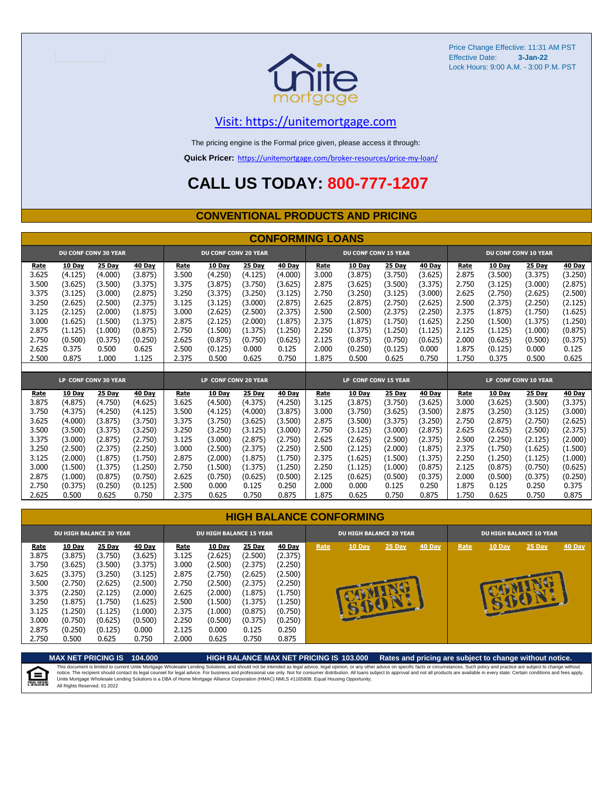

### [V](https://unitemortgage.com/)isit: https://unitemortgage.com

The pricing engine is the Formal price given, please access it through:

**Quick Pricer:** [https://un](https://unitemortgage.com/broker-resources/price-my-loan/)itemortgage.com/broker-resources/price-my-loan/

## **CALL US TODAY: 800-777-1207**

### **CONVENTIONAL PRODUCTS AND PRICING**

|       | <b>CONFORMING LOANS</b> |                             |         |                      |                             |         |         |                             |         |         |               |       |               |                      |               |
|-------|-------------------------|-----------------------------|---------|----------------------|-----------------------------|---------|---------|-----------------------------|---------|---------|---------------|-------|---------------|----------------------|---------------|
|       |                         | <b>DU CONF CONV 30 YEAR</b> |         |                      | <b>DU CONF CONV 20 YEAR</b> |         |         | <b>DU CONF CONV 15 YEAR</b> |         |         |               |       |               | DU CONF CONV 10 YEAR |               |
| Rate  | 10 Day                  | <b>25 Day</b>               | 40 Day  | Rate                 | 10 Day                      | 25 Day  | 40 Day  | Rate                        | 10 Day  | 25 Day  | 40 Day        | Rate  | 10 Day        | 25 Day               | 40 Day        |
| 3.625 | (4.125)                 | (4.000)                     | (3.875) | 3.500                | (4.250)                     | (4.125) | (4.000) | 3.000                       | (3.875) | (3.750) | (3.625)       | 2.875 | (3.500)       | (3.375)              | (3.250)       |
| 3.500 | (3.625)                 | (3.500)                     | (3.375) | 3.375                | (3.875)                     | (3.750) | (3.625) | 2.875                       | (3.625) | (3.500) | (3.375)       | 2.750 | (3.125)       | (3.000)              | (2.875)       |
| 3.375 | (3.125)                 | (3.000)                     | (2.875) | 3.250                | (3.375)                     | (3.250) | (3.125) | 2.750                       | (3.250) | (3.125) | (3.000)       | 2.625 | (2.750)       | (2.625)              | (2.500)       |
| 3.250 | (2.625)                 | (2.500)                     | (2.375) | 3.125                | (3.125)                     | (3,000) | (2.875) | 2.625                       | (2.875) | (2.750) | (2.625)       | 2.500 | (2.375)       | (2.250)              | (2.125)       |
| 3.125 | (2.125)                 | (2.000)                     | (1.875) | 3.000                | (2.625)                     | (2.500) | (2.375) | 2.500                       | (2.500) | (2.375) | (2.250)       | 2.375 | (1.875)       | (1.750)              | (1.625)       |
| 3.000 | (1.625)                 | (1.500)                     | (1.375) | 2.875                | (2.125)                     | (2.000) | (1.875) | 2.375                       | (1.875) | (1.750) | (1.625)       | 2.250 | (1.500)       | (1.375)              | (1.250)       |
| 2.875 | (1.125)                 | (1.000)                     | (0.875) | 2.750                | (1.500)                     | (1.375) | (1.250) | 2.250                       | (1.375) | (1.250) | (1.125)       | 2.125 | (1.125)       | (1.000)              | (0.875)       |
| 2.750 | (0.500)                 | (0.375)                     | (0.250) | 2.625                | (0.875)                     | (0.750) | (0.625) | 2.125                       | (0.875) | (0.750) | (0.625)       | 2.000 | (0.625)       | (0.500)              | (0.375)       |
| 2.625 | 0.375                   | 0.500                       | 0.625   | 2.500                | (0.125)                     | 0.000   | 0.125   | 2.000                       | (0.250) | (0.125) | 0.000         | 1.875 | (0.125)       | 0.000                | 0.125         |
| 2.500 | 0.875                   | 1.000                       | 1.125   | 2.375                | 0.500                       | 0.625   | 0.750   | 1.875                       | 0.500   | 0.625   | 0.750         | 1.750 | 0.375         | 0.500                | 0.625         |
|       |                         |                             |         |                      |                             |         |         |                             |         |         |               |       |               |                      |               |
|       |                         | LP CONF CONV 30 YEAR        |         | LP CONF CONV 20 YEAR |                             |         |         | LP CONF CONV 15 YEAR        |         |         |               |       |               | LP CONF CONV 10 YEAR |               |
| Rate  | 10 Day                  | 25 Day                      | 40 Day  | Rate                 | 10 Day                      | 25 Day  | 40 Day  | Rate                        | 10 Day  | 25 Day  | <b>40 Day</b> | Rate  | <b>10 Day</b> | 25 Day               | <b>40 Day</b> |
| 3.875 | (4.875)                 | (4.750)                     | (4.625) | 3.625                | (4.500)                     | (4.375) | (4.250) | 3.125                       | (3.875) | (3.750) | (3.625)       | 3.000 | (3.625)       | (3.500)              | (3.375)       |
| 3.750 | (4.375)                 | (4.250)                     | (4.125) | 3.500                | (4.125)                     | (4.000) | (3.875) | 3.000                       | (3.750) | (3.625) | (3.500)       | 2.875 | (3.250)       | (3.125)              | (3.000)       |
| 3.625 | (4.000)                 | (3.875)                     | (3.750) | 3.375                | (3.750)                     | (3.625) | (3.500) | 2.875                       | (3.500) | (3.375) | (3.250)       | 2.750 | (2.875)       | (2.750)              | (2.625)       |
| 3.500 | (3.500)                 | (3.375)                     | (3.250) | 3.250                | (3.250)                     | (3.125) | (3.000) | 2.750                       | (3.125) | (3.000) | (2.875)       | 2.625 | (2.625)       | (2.500)              | (2.375)       |
| 3.375 | (3.000)                 | (2.875)                     | (2.750) | 3.125                | (3.000)                     | (2.875) | (2.750) | 2.625                       | (2.625) | (2.500) | (2.375)       | 2.500 | (2.250)       | (2.125)              | (2.000)       |
| 3.250 | (2.500)                 | (2.375)                     | (2.250) | 3.000                | (2.500)                     | (2.375) | (2.250) | 2.500                       | (2.125) | (2.000) | (1.875)       | 2.375 | (1.750)       | (1.625)              | (1.500)       |
| 3.125 | (2.000)                 | (1.875)                     | (1.750) | 2.875                | (2.000)                     | (1.875) | (1.750) | 2.375                       | (1.625) | (1.500) | (1.375)       | 2.250 | (1.250)       | (1.125)              | (1.000)       |
| 3.000 | (1.500)                 | (1.375)                     | (1.250) | 2.750                | (1.500)                     | (1.375) | (1.250) | 2.250                       | (1.125) | (1.000) | (0.875)       | 2.125 | (0.875)       | (0.750)              | (0.625)       |
| 2.875 | (1.000)                 | (0.875)                     | (0.750) | 2.625                | (0.750)                     | (0.625) | (0.500) | 2.125                       | (0.625) | (0.500) | (0.375)       | 2.000 | (0.500)       | (0.375)              | (0.250)       |
| 2.750 | (0.375)                 | (0.250)                     | (0.125) | 2.500                | 0.000                       | 0.125   | 0.250   | 2.000                       | 0.000   | 0.125   | 0.250         | 1.875 | 0.125         | 0.250                | 0.375         |
| 2.625 | 0.500                   | 0.625                       | 0.750   | 2.375                | 0.625                       | 0.750   | 0.875   | 1.875                       | 0.625   | 0.750   | 0.875         | 1.750 | 0.625         | 0.750                | 0.875         |

| <b>HIGH BALANCE CONFORMING</b> |  |  |
|--------------------------------|--|--|
|                                |  |  |

|                                                                              | <b>DU HIGH BALANCE 30 YEAR</b>                                                                        |                                                                                                       |                                                                                                       | <b>DU HIGH BALANCE 15 YEAR</b>                                               |                                                                                                       |                                                                                                       |                                                                                                       |      | <b>DU HIGH BALANCE 20 YEAR</b> |              |               | <b>DU HIGH BALANCE 10 YEAR</b> |               |          |               |  |
|------------------------------------------------------------------------------|-------------------------------------------------------------------------------------------------------|-------------------------------------------------------------------------------------------------------|-------------------------------------------------------------------------------------------------------|------------------------------------------------------------------------------|-------------------------------------------------------------------------------------------------------|-------------------------------------------------------------------------------------------------------|-------------------------------------------------------------------------------------------------------|------|--------------------------------|--------------|---------------|--------------------------------|---------------|----------|---------------|--|
| Rate<br>3.875<br>3.750<br>3.625<br>3.500<br>3.375<br>3.250<br>3.125<br>3.000 | <b>10 Day</b><br>(3.875)<br>(3.625)<br>(3.375)<br>(2.750)<br>(2.250)<br>(1.875)<br>(1.250)<br>(0.750) | <b>25 Day</b><br>(3.750)<br>(3.500)<br>(3.250)<br>(2.625)<br>(2.125)<br>(1.750)<br>(1.125)<br>(0.625) | <b>40 Day</b><br>(3.625)<br>(3.375)<br>(3.125)<br>(2.500)<br>(2.000)<br>(1.625)<br>(1.000)<br>(0.500) | Rate<br>3.125<br>3.000<br>2.875<br>2.750<br>2.625<br>2.500<br>2.375<br>2.250 | <b>10 Day</b><br>(2.625)<br>(2.500)<br>(2.750)<br>(2.500)<br>(2.000)<br>(1.500)<br>(1.000)<br>(0.500) | <b>25 Day</b><br>(2.500)<br>(2.375)<br>(2.625)<br>(2.375)<br>(1.875)<br>(1.375)<br>(0.875)<br>(0.375) | <b>40 Day</b><br>(2.375)<br>(2.250)<br>(2.500)<br>(2.250)<br>(1.750)<br>(1.250)<br>(0.750)<br>(0.250) | Rate | <b>10 Day</b><br><b>STATE</b>  | 25 Day<br>ēМ | <b>40 Day</b> | Rate                           | <b>10 Day</b> | $25$ Day | <b>40 Day</b> |  |
| 2.875<br>2.750                                                               | (0.250)<br>0.500                                                                                      | (0.125)<br>0.625                                                                                      | 0.000<br>0.750                                                                                        | 2.125<br>2.000                                                               | 0.000<br>0.625                                                                                        | 0.125<br>0.750                                                                                        | 0.250<br>0.875                                                                                        |      |                                |              |               |                                |               |          |               |  |

**MAX NET PRICING IS 104.000 HIGH BALANCE MAX NET PRICING IS 103.000 Rates and pricing are subject to change without notice.** This document is limited to current Unite Mortgage Wholesale Lending Solutions, and should not be intended as legal advice, legal opinion, or any other advice on specific facts or circumstances. Such policy and practice ar 自 All Rights Reserved. 01.2022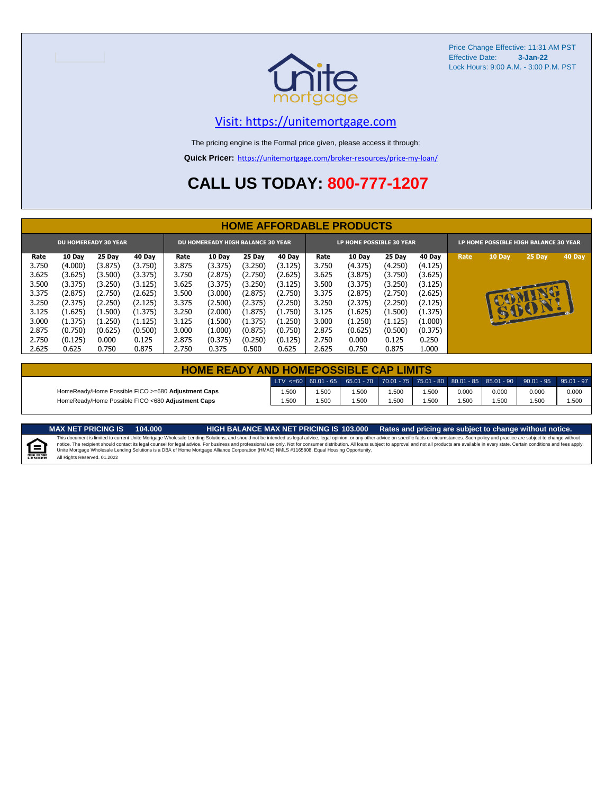

### [V](https://unitemortgage.com/)isit: https://unitemortgage.com

The pricing engine is the Formal price given, please access it through:

**Quick Pricer:** [https://un](https://unitemortgage.com/broker-resources/price-my-loan/)itemortgage.com/broker-resources/price-my-loan/

## **CALL US TODAY: 800-777-1207**

|                             | <b>HOME AFFORDABLE PRODUCTS</b> |         |               |                                          |               |               |               |                          |               |               |               |                                       |              |        |        |
|-----------------------------|---------------------------------|---------|---------------|------------------------------------------|---------------|---------------|---------------|--------------------------|---------------|---------------|---------------|---------------------------------------|--------------|--------|--------|
| <b>DU HOMEREADY 30 YEAR</b> |                                 |         |               | <b>DU HOMEREADY HIGH BALANCE 30 YEAR</b> |               |               |               | LP HOME POSSIBLE 30 YEAR |               |               |               | LP HOME POSSIBLE HIGH BALANCE 30 YEAR |              |        |        |
| <u>Rate</u>                 | <b>10 Day</b>                   | 25 Day  | <b>40 Day</b> | Rate                                     | <b>10 Day</b> | <b>25 Day</b> | <b>40 Day</b> | <u>Rate</u>              | <b>10 Day</b> | <b>25 Day</b> | <b>40 Day</b> | Rate                                  | 10 Day       | 25 Day | 40 Day |
| 3.750                       | (4.000)                         | (3.875) | (3.750)       | 3.875                                    | (3.375)       | (3.250)       | (3.125)       | 3.750                    | (4.375)       | (4.250)       | (4.125)       |                                       |              |        |        |
| 3.625                       | (3.625)                         | (3.500) | (3.375)       | 3.750                                    | (2.875)       | (2.750)       | (2.625)       | 3.625                    | (3.875)       | (3.750)       | (3.625)       |                                       |              |        |        |
| 3.500                       | (3.375)                         | (3.250) | (3.125)       | 3.625                                    | (3.375)       | (3.250)       | (3.125)       | 3.500                    | (3.375)       | (3.250)       | (3.125)       |                                       |              |        |        |
| 3.375                       | (2.875)                         | (2.750) | (2.625)       | 3.500                                    | (3.000)       | (2.875)       | (2.750)       | 3.375                    | (2.875)       | (2.750)       | (2.625)       |                                       |              |        |        |
| 3.250                       | (2.375)                         | (2.250) | (2.125)       | 3.375                                    | (2.500)       | (2.375)       | (2.250)       | 3.250                    | (2.375)       | (2.250)       | (2.125)       |                                       |              | u.     |        |
| 3.125                       | (1.625)                         | (1.500) | (1.375)       | 3.250                                    | (2.000)       | (1.875)       | (1.750)       | 3.125                    | (1.625)       | (1.500)       | (1.375)       |                                       | $\mathbf{H}$ | BOY    |        |
| 3.000                       | (1.375)                         | (1.250) | (1.125)       | 3.125                                    | (1.500)       | (1.375)       | (1.250)       | 3.000                    | (1.250)       | (1.125)       | (1.000)       |                                       |              |        |        |
| 2.875                       | (0.750)                         | (0.625) | (0.500)       | 3.000                                    | (1.000)       | (0.875)       | (0.750)       | 2.875                    | (0.625)       | (0.500)       | (0.375)       |                                       |              |        |        |
| 2.750                       | (0.125)                         | 0.000   | 0.125         | 2.875                                    | (0.375)       | (0.250)       | (0.125)       | 2.750                    | 0.000         | 0.125         | 0.250         |                                       |              |        |        |
| 2.625                       | 0.625                           | 0.750   | 0.875         | 2.750                                    | 0.375         | 0.500         | 0.625         | 2.625                    | 0.750         | 0.875         | L.000         |                                       |              |        |        |

| <b>HOME READY AND HOMEPOSSIBLE CAP LIMITS</b>      |      |      |      |      |      |       |       |                                                                                                                   |       |  |  |  |
|----------------------------------------------------|------|------|------|------|------|-------|-------|-------------------------------------------------------------------------------------------------------------------|-------|--|--|--|
|                                                    |      |      |      |      |      |       |       | 「LTV <=60   60.01 - 65   65.01 - 70   70.01 - 75   75.01 - 80   80.01 - 85   85.01 - 90   90.01 - 95   95.01 - 97 |       |  |  |  |
| HomeReady/Home Possible FICO >=680 Adjustment Caps | .500 | .500 | .500 | .500 | .500 | 0.000 | 0.000 | 0.000                                                                                                             | 0.000 |  |  |  |
| HomeReady/Home Possible FICO <680 Adjustment Caps  | .500 | .500 | .500 | .500 | .500 | .500  | 1.500 | .500                                                                                                              | 1.500 |  |  |  |

MAX NET PRICING IS 103.000 Rates and pricing are subject to change without notice.<br>This document is limited to current Unite Mortgage Wholesale Lending Solutions, and should not be intended as legal advice, legal opinion,



All Rights Reserved. 01.2022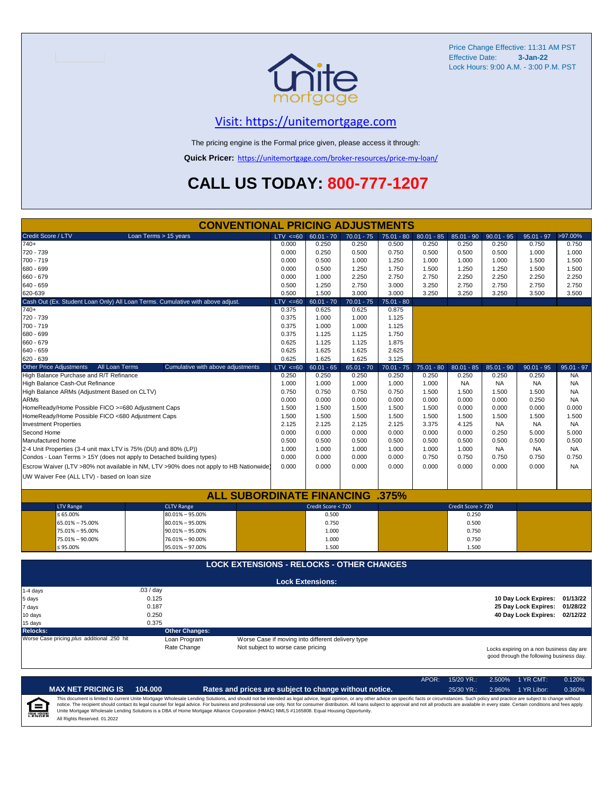

## [V](https://unitemortgage.com/)isit: https://unitemortgage.com

The pricing engine is the Formal price given, please access it through:

**Quick Pricer:** [https://un](https://unitemortgage.com/broker-resources/price-my-loan/)itemortgage.com/broker-resources/price-my-loan/

## **CALL US TODAY: 800-777-1207**

|                                                                                | <b>CONVENTIONAL PRICING ADJUSTMENTS</b>                                                                                                  |                                                   |                         |              |              |              |                    |              |                      |              |
|--------------------------------------------------------------------------------|------------------------------------------------------------------------------------------------------------------------------------------|---------------------------------------------------|-------------------------|--------------|--------------|--------------|--------------------|--------------|----------------------|--------------|
| Credit Score / LTV                                                             | Loan Terms > 15 years                                                                                                                    | $LTV \le 60$                                      | $60.01 - 70$            | $70.01 - 75$ | $75.01 - 80$ | $80.01 - 85$ | $85.01 - 90$       | $90.01 - 95$ | $95.01 - 97$         | >97.00%      |
| $740+$                                                                         |                                                                                                                                          | 0.000                                             | 0.250                   | 0.250        | 0.500        | 0.250        | 0.250              | 0.250        | 0.750                | 0.750        |
| 720 - 739                                                                      |                                                                                                                                          | 0.000                                             | 0.250                   | 0.500        | 0.750        | 0.500        | 0.500              | 0.500        | 1.000                | 1.000        |
| 700 - 719                                                                      |                                                                                                                                          | 0.000                                             | 0.500                   | 1.000        | 1.250        | 1.000        | 1.000              | 1.000        | 1.500                | 1.500        |
| 680 - 699                                                                      |                                                                                                                                          | 0.000                                             | 0.500                   | 1.250        | 1.750        | 1.500        | 1.250              | 1.250        | 1.500                | 1.500        |
| 660 - 679                                                                      |                                                                                                                                          | 0.000                                             | 1.000                   | 2.250        | 2.750        | 2.750        | 2.250              | 2.250        | 2.250                | 2.250        |
| $640 - 659$                                                                    |                                                                                                                                          | 0.500                                             | 1.250                   | 2.750        | 3.000        | 3.250        | 2.750              | 2.750        | 2.750                | 2.750        |
| 620-639                                                                        |                                                                                                                                          | 0.500                                             | 1.500                   | 3.000        | 3.000        | 3.250        | 3.250              | 3.250        | 3.500                | 3.500        |
| Cash Out (Ex. Student Loan Only) All Loan Terms. Cumulative with above adjust. |                                                                                                                                          | $LTV \le 60$                                      | $60.01 - 70$            | $70.01 - 75$ | $75.01 - 80$ |              |                    |              |                      |              |
| $740+$                                                                         |                                                                                                                                          | 0.375                                             | 0.625                   | 0.625        | 0.875        |              |                    |              |                      |              |
| 720 - 739                                                                      |                                                                                                                                          | 0.375                                             | 1.000                   | 1.000        | 1.125        |              |                    |              |                      |              |
| 700 - 719                                                                      |                                                                                                                                          | 0.375                                             | 1.000                   | 1.000        | 1.125        |              |                    |              |                      |              |
| 680 - 699                                                                      |                                                                                                                                          | 0.375                                             | 1.125                   | 1.125        | 1.750        |              |                    |              |                      |              |
| 660 - 679                                                                      |                                                                                                                                          | 0.625                                             | 1.125                   | 1.125        | 1.875        |              |                    |              |                      |              |
| $640 - 659$                                                                    |                                                                                                                                          | 0.625                                             | 1.625                   | 1.625        | 2.625        |              |                    |              |                      |              |
| 620 - 639                                                                      |                                                                                                                                          | 0.625                                             | 1.625                   | 1.625        | 3.125        |              |                    |              |                      |              |
| <b>Other Price Adjustments</b><br>All Loan Terms                               | Cumulative with above adjustments                                                                                                        | $LTV \le 60$                                      | $60.01 - 65$            | $65.01 - 70$ | $70.01 - 75$ | $75.01 - 80$ | $80.01 - 85$       | $85.01 - 90$ | $90.01 - 95$         | $95.01 - 97$ |
| High Balance Purchase and R/T Refinance                                        |                                                                                                                                          | 0.250                                             | 0.250                   | 0.250        | 0.250        | 0.250        | 0.250              | 0.250        | 0.250                | <b>NA</b>    |
| High Balance Cash-Out Refinance                                                |                                                                                                                                          | 1.000                                             | 1.000                   | 1.000        | 1.000        | 1.000        | <b>NA</b>          | <b>NA</b>    | <b>NA</b>            | <b>NA</b>    |
| High Balance ARMs (Adjustment Based on CLTV)                                   |                                                                                                                                          | 0.750                                             | 0.750                   | 0.750        | 0.750        | 1.500        | 1.500              | 1.500        | 1.500                | <b>NA</b>    |
| <b>ARMs</b>                                                                    |                                                                                                                                          | 0.000                                             | 0.000                   | 0.000        | 0.000        | 0.000        | 0.000              | 0.000        | 0.250                | <b>NA</b>    |
| HomeReady/Home Possible FICO >=680 Adjustment Caps                             |                                                                                                                                          | 1.500                                             | 1.500                   | 1.500        | 1.500        | 1.500        | 0.000              | 0.000        | 0.000                | 0.000        |
| HomeReady/Home Possible FICO <680 Adjustment Caps                              |                                                                                                                                          | 1.500                                             | 1.500                   | 1.500        | 1.500        | 1.500        | 1.500              | 1.500        | 1.500                | 1.500        |
| <b>Investment Properties</b>                                                   |                                                                                                                                          | 2.125                                             | 2.125                   | 2.125        | 2.125        | 3.375        | 4.125              | <b>NA</b>    | <b>NA</b>            | <b>NA</b>    |
| Second Home                                                                    |                                                                                                                                          | 0.000                                             | 0.000                   | 0.000        | 0.000        | 0.000        | 0.000              | 0.250        | 5.000                | 5.000        |
| Manufactured home                                                              |                                                                                                                                          | 0.500                                             | 0.500                   | 0.500        | 0.500        | 0.500        | 0.500              | 0.500        | 0.500                | 0.500        |
| 2-4 Unit Properties (3-4 unit max LTV is 75% (DU) and 80% (LP))                |                                                                                                                                          | 1.000                                             | 1.000                   | 1.000        | 1.000        | 1.000        | 1.000              | <b>NA</b>    | <b>NA</b>            | <b>NA</b>    |
| Condos - Loan Terms > 15Y (does not apply to Detached building types)          |                                                                                                                                          | 0.000                                             | 0.000                   | 0.000        | 0.000        | 0.750        | 0.750              | 0.750        | 0.750                | 0.750        |
|                                                                                |                                                                                                                                          | 0.000                                             | 0.000                   | 0.000        | 0.000        | 0.000        | 0.000              | 0.000        | 0.000                | <b>NA</b>    |
|                                                                                | Escrow Waiver (LTV >80% not available in NM, LTV >90% does not apply to HB Nationwide)                                                   |                                                   |                         |              |              |              |                    |              |                      |              |
| UW Waiver Fee (ALL LTV) - based on loan size                                   |                                                                                                                                          |                                                   |                         |              |              |              |                    |              |                      |              |
|                                                                                |                                                                                                                                          |                                                   |                         |              |              |              |                    |              |                      |              |
|                                                                                | <b>ALL SUBORDINATE FINANCING .375%</b>                                                                                                   |                                                   |                         |              |              |              |                    |              |                      |              |
| <b>LTV Range</b>                                                               | <b>CLTV Range</b>                                                                                                                        |                                                   | Credit Score < 720      |              |              |              | Credit Score > 720 |              |                      |              |
| ≤ 65.00%                                                                       | 80.01% - 95.00%                                                                                                                          |                                                   | 0.500                   |              |              |              | 0.250              |              |                      |              |
| 65.01% - 75.00%                                                                | $80.01\% - 95.00\%$                                                                                                                      |                                                   | 0.750                   |              |              |              | 0.500              |              |                      |              |
| 75.01% - 95.00%                                                                | $90.01\% - 95.00\%$                                                                                                                      |                                                   | 1.000                   |              |              |              | 0.750              |              |                      |              |
| 75.01% - 90.00%                                                                | 76.01% - 90.00%                                                                                                                          |                                                   | 1.000                   |              |              |              | 0.750              |              |                      |              |
| $\leq 95.00\%$                                                                 | 95.01% - 97.00%                                                                                                                          |                                                   | 1.500                   |              |              |              | 1.500              |              |                      |              |
|                                                                                | <b>LOCK EXTENSIONS - RELOCKS - OTHER CHANGES</b>                                                                                         |                                                   |                         |              |              |              |                    |              |                      |              |
|                                                                                |                                                                                                                                          |                                                   |                         |              |              |              |                    |              |                      |              |
|                                                                                |                                                                                                                                          |                                                   | <b>Lock Extensions:</b> |              |              |              |                    |              |                      |              |
| 1-4 days                                                                       | .03 / day                                                                                                                                |                                                   |                         |              |              |              |                    |              |                      |              |
| 5 days                                                                         | 0.125                                                                                                                                    |                                                   |                         |              |              |              |                    |              | 10 Day Lock Expires: | 01/13/22     |
| 7 days                                                                         | 0.187                                                                                                                                    |                                                   |                         |              |              |              |                    |              | 25 Day Lock Expires: | 01/28/22     |
| 10 days                                                                        | 0.250                                                                                                                                    |                                                   |                         |              |              |              |                    |              | 40 Day Lock Expires: | 02/12/22     |
| 15 days                                                                        | 0.375                                                                                                                                    |                                                   |                         |              |              |              |                    |              |                      |              |
| Relocks:                                                                       | <b>Other Changes:</b>                                                                                                                    |                                                   |                         |              |              |              |                    |              |                      |              |
| Worse Case pricing plus additional .250 hit                                    | Loan Program                                                                                                                             | Worse Case if moving into different delivery type |                         |              |              |              |                    |              |                      |              |
|                                                                                | Rate Change<br>Not subject to worse case pricing<br>Locks expiring on a non business day are<br>good through the following business day. |                                                   |                         |              |              |              |                    |              |                      |              |

|                            |                              |         |                                                                                                                                                                                                                                                                                                                                                                                                                                                                                                                                                                                                                | APOR: | 15/20 YR.:   | $2.500\%$ 1 YR CMT: | 0.120% |
|----------------------------|------------------------------|---------|----------------------------------------------------------------------------------------------------------------------------------------------------------------------------------------------------------------------------------------------------------------------------------------------------------------------------------------------------------------------------------------------------------------------------------------------------------------------------------------------------------------------------------------------------------------------------------------------------------------|-------|--------------|---------------------|--------|
|                            | <b>MAX NET PRICING IS</b>    | 104.000 | Rates and prices are subject to change without notice.                                                                                                                                                                                                                                                                                                                                                                                                                                                                                                                                                         |       | $25/30$ YR.: | 2.960% 1 YR Libor:  | 0.360% |
| ſ≘<br><b>EQUAL HOUSING</b> | All Rights Reserved. 01.2022 |         | This document is limited to current Unite Mortgage Wholesale Lending Solutions, and should not be intended as legal advice, legal opinion, or any other advice on specific facts or circumstances. Such policy and practice ar<br>notice. The recipient should contact its legal counsel for legal advice. For business and professional use only. Not for consumer distribution. All loans subject to approval and not all products are available in every stat<br>Unite Mortgage Wholesale Lending Solutions is a DBA of Home Mortgage Alliance Corporation (HMAC) NMLS #1165808. Equal Housing Opportunity. |       |              |                     |        |